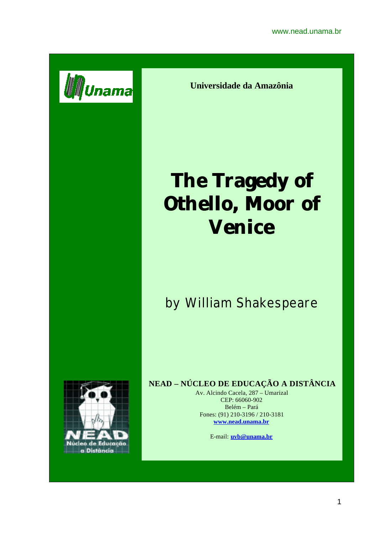

**Universidade da Amazônia**

# **The Tragedy of Othello, Moor of Venice**

# by William Shakespeare



## **NEAD – NÚCLEO DE EDUCAÇÃO A DISTÂNCIA**

Av. Alcindo Cacela, 287 – Umarizal CEP: 66060-902 Belém – Pará Fones: (91) 210-3196 / 210-3181 **www.nead.unama.br**

E-mail: **uvb@unama.br**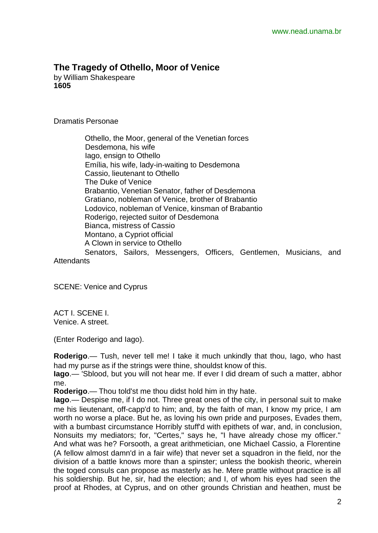### **The Tragedy of Othello, Moor of Venice**

by William Shakespeare **1605**

#### Dramatis Personae

 Othello, the Moor, general of the Venetian forces Desdemona, his wife Iago, ensign to Othello Emília, his wife, lady-in-waiting to Desdemona Cassio, lieutenant to Othello The Duke of Venice Brabantio, Venetian Senator, father of Desdemona Gratiano, nobleman of Venice, brother of Brabantio Lodovico, nobleman of Venice, kinsman of Brabantio Roderigo, rejected suitor of Desdemona Bianca, mistress of Cassio Montano, a Cypriot official A Clown in service to Othello Senators, Sailors, Messengers, Officers, Gentlemen, Musicians, and

**Attendants** 

SCENE: Venice and Cyprus

ACT I. SCENE I. Venice. A street.

(Enter Roderigo and Iago).

**Roderigo**.— Tush, never tell me! I take it much unkindly that thou, Iago, who hast had my purse as if the strings were thine, shouldst know of this.

**Iago**.— 'Sblood, but you will not hear me. If ever I did dream of such a matter, abhor me.

**Roderigo**.— Thou told'st me thou didst hold him in thy hate.

**Iago**.— Despise me, if I do not. Three great ones of the city, in personal suit to make me his lieutenant, off-capp'd to him; and, by the faith of man, I know my price, I am worth no worse a place. But he, as loving his own pride and purposes, Evades them, with a bumbast circumstance Horribly stuff'd with epithets of war, and, in conclusion, Nonsuits my mediators; for, "Certes," says he, "I have already chose my officer." And what was he? Forsooth, a great arithmetician, one Michael Cassio, a Florentine (A fellow almost damn'd in a fair wife) that never set a squadron in the field, nor the division of a battle knows more than a spinster; unless the bookish theoric, wherein the toged consuls can propose as masterly as he. Mere prattle without practice is all his soldiership. But he, sir, had the election; and I, of whom his eyes had seen the proof at Rhodes, at Cyprus, and on other grounds Christian and heathen, must be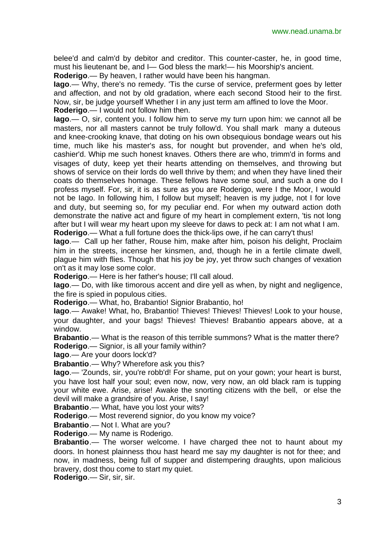belee'd and calm'd by debitor and creditor. This counter-caster, he, in good time, must his lieutenant be, and I— God bless the mark!— his Moorship's ancient.

**Roderigo**.— By heaven, I rather would have been his hangman.

**Iago**.— Why, there's no remedy. 'Tis the curse of service, preferment goes by letter and affection, and not by old gradation, where each second Stood heir to the first. Now, sir, be judge yourself Whether I in any just term am affined to love the Moor. **Roderigo**.— I would not follow him then.

**Iago**.— O, sir, content you. I follow him to serve my turn upon him: we cannot all be masters, nor all masters cannot be truly follow'd. You shall mark many a duteous and knee-crooking knave, that doting on his own obsequious bondage wears out his time, much like his master's ass, for nought but provender, and when he's old, cashier'd. Whip me such honest knaves. Others there are who, trimm'd in forms and visages of duty, keep yet their hearts attending on themselves, and throwing but shows of service on their lords do well thrive by them; and when they have lined their coats do themselves homage. These fellows have some soul, and such a one do I profess myself. For, sir, it is as sure as you are Roderigo, were I the Moor, I would not be Iago. In following him, I follow but myself; heaven is my judge, not I for love and duty, but seeming so, for my peculiar end. For when my outward action doth demonstrate the native act and figure of my heart in complement extern, 'tis not long after but I will wear my heart upon my sleeve for daws to peck at: I am not what I am. **Roderigo**.— What a full fortune does the thick-lips owe, if he can carry't thus!

**Iago**.— Call up her father, Rouse him, make after him, poison his delight, Proclaim him in the streets, incense her kinsmen, and, though he in a fertile climate dwell, plague him with flies. Though that his joy be joy, yet throw such changes of vexation on't as it may lose some color.

**Roderigo**.— Here is her father's house; I'll call aloud.

**Iago**.— Do, with like timorous accent and dire yell as when, by night and negligence, the fire is spied in populous cities.

**Roderigo**.— What, ho, Brabantio! Signior Brabantio, ho!

**Iago**.— Awake! What, ho, Brabantio! Thieves! Thieves! Thieves! Look to your house, your daughter, and your bags! Thieves! Thieves! Brabantio appears above, at a window.

**Brabantio**.— What is the reason of this terrible summons? What is the matter there? **Roderigo**.— Signior, is all your family within?

**Iago**.— Are your doors lock'd?

**Brabantio**.— Why? Wherefore ask you this?

**Iago**.— 'Zounds, sir, you're robb'd! For shame, put on your gown; your heart is burst, you have lost half your soul; even now, now, very now, an old black ram is tupping your white ewe. Arise, arise! Awake the snorting citizens with the bell, or else the devil will make a grandsire of you. Arise, I say!

**Brabantio**.— What, have you lost your wits?

**Roderigo**.— Most reverend signior, do you know my voice?

**Brabantio**.— Not I. What are you?

**Roderigo**.— My name is Roderigo.

**Brabantio**.— The worser welcome. I have charged thee not to haunt about my doors. In honest plainness thou hast heard me say my daughter is not for thee; and now, in madness, being full of supper and distempering draughts, upon malicious bravery, dost thou come to start my quiet.

**Roderigo**.— Sir, sir, sir.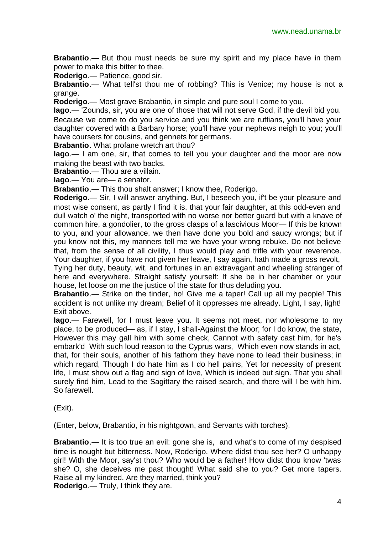**Brabantio**.— But thou must needs be sure my spirit and my place have in them power to make this bitter to thee.

**Roderigo**.— Patience, good sir.

**Brabantio**.— What tell'st thou me of robbing? This is Venice; my house is not a grange.

**Roderigo**.— Most grave Brabantio, in simple and pure soul I come to you.

**Iago**.— 'Zounds, sir, you are one of those that will not serve God, if the devil bid you.

Because we come to do you service and you think we are ruffians, you'll have your daughter covered with a Barbary horse; you'll have your nephews neigh to you; you'll have coursers for cousins, and gennets for germans.

**Brabantio**. What profane wretch art thou?

**Iago**.— I am one, sir, that comes to tell you your daughter and the moor are now making the beast with two backs.

**Brabantio**.— Thou are a villain.

**Iago**.— You are— a senator.

**Brabantio**.— This thou shalt answer; I know thee, Roderigo.

**Roderigo**.— Sir, I will answer anything. But, I beseech you, if't be your pleasure and most wise consent, as partly I find it is, that your fair daughter, at this odd-even and dull watch o' the night, transported with no worse nor better guard but with a knave of common hire, a gondolier, to the gross clasps of a lascivious Moor— If this be known to you, and your allowance, we then have done you bold and saucy wrongs; but if you know not this, my manners tell me we have your wrong rebuke. Do not believe that, from the sense of all civility, I thus would play and trifle with your reverence.

Your daughter, if you have not given her leave, I say again, hath made a gross revolt, Tying her duty, beauty, wit, and fortunes in an extravagant and wheeling stranger of here and everywhere. Straight satisfy yourself: If she be in her chamber or your house, let loose on me the justice of the state for thus deluding you.

**Brabantio**.— Strike on the tinder, ho! Give me a taper! Call up all my people! This accident is not unlike my dream; Belief of it oppresses me already. Light, I say, light! Exit above.

**Iago**.— Farewell, for I must leave you. It seems not meet, nor wholesome to my place, to be produced— as, if I stay, I shall-Against the Moor; for I do know, the state, However this may gall him with some check, Cannot with safety cast him, for he's embark'd With such loud reason to the Cyprus wars, Which even now stands in act, that, for their souls, another of his fathom they have none to lead their business; in which regard. Though I do hate him as I do hell pains. Yet for necessity of present life, I must show out a flag and sign of love, Which is indeed but sign. That you shall surely find him, Lead to the Sagittary the raised search, and there will I be with him. So farewell.

(Exit).

(Enter, below, Brabantio, in his nightgown, and Servants with torches).

**Brabantio**.— It is too true an evil: gone she is, and what's to come of my despised time is nought but bitterness. Now, Roderigo, Where didst thou see her? O unhappy girl! With the Moor, say'st thou? Who would be a father! How didst thou know 'twas she? O, she deceives me past thought! What said she to you? Get more tapers. Raise all my kindred. Are they married, think you? **Roderigo**.— Truly, I think they are.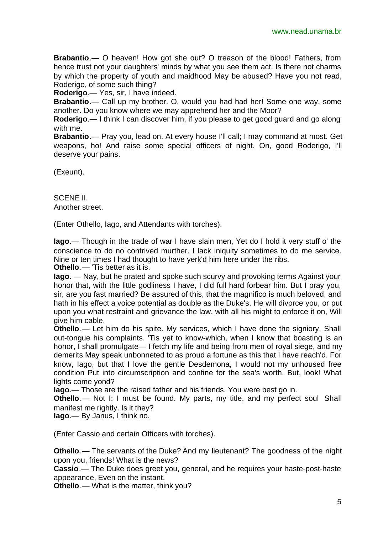**Brabantio**.— O heaven! How got she out? O treason of the blood! Fathers, from hence trust not your daughters' minds by what you see them act. Is there not charms by which the property of youth and maidhood May be abused? Have you not read, Roderigo, of some such thing?

**Roderigo**.— Yes, sir, I have indeed.

**Brabantio**.— Call up my brother. O, would you had had her! Some one way, some another. Do you know where we may apprehend her and the Moor?

**Roderigo**.— I think I can discover him, if you please to get good guard and go along with me.

**Brabantio**.— Pray you, lead on. At every house I'll call; I may command at most. Get weapons, ho! And raise some special officers of night. On, good Roderigo, I'll deserve your pains.

(Exeunt).

SCENE II. Another street.

(Enter Othello, Iago, and Attendants with torches).

**Iago**.— Though in the trade of war I have slain men, Yet do I hold it very stuff o' the conscience to do no contrived murther. I lack iniquity sometimes to do me service. Nine or ten times I had thought to have yerk'd him here under the ribs.

**Othello**.— 'Tis better as it is.

**Iago**. — Nay, but he prated and spoke such scurvy and provoking terms Against your honor that, with the little godliness I have, I did full hard forbear him. But I pray you, sir, are you fast married? Be assured of this, that the magnifico is much beloved, and hath in his effect a voice potential as double as the Duke's. He will divorce you, or put upon you what restraint and grievance the law, with all his might to enforce it on, Will give him cable.

**Othello**.— Let him do his spite. My services, which I have done the signiory, Shall out-tongue his complaints. 'Tis yet to know-which, when I know that boasting is an honor, I shall promulgate— I fetch my life and being from men of royal siege, and my demerits May speak unbonneted to as proud a fortune as this that I have reach'd. For know, Iago, but that I love the gentle Desdemona, I would not my unhoused free condition Put into circumscription and confine for the sea's worth. But, look! What lights come yond?

**Iago**.— Those are the raised father and his friends. You were best go in.

**Othello**.— Not I; I must be found. My parts, my title, and my perfect soul Shall manifest me rightly. Is it they?

**Iago**.— By Janus, I think no.

(Enter Cassio and certain Officers with torches).

**Othello**.— The servants of the Duke? And my lieutenant? The goodness of the night upon you, friends! What is the news?

**Cassio**.— The Duke does greet you, general, and he requires your haste-post-haste appearance, Even on the instant.

**Othello**.— What is the matter, think you?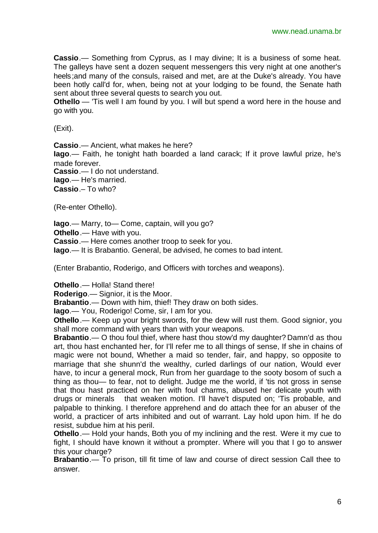**Cassio**.— Something from Cyprus, as I may divine; It is a business of some heat. The galleys have sent a dozen sequent messengers this very night at one another's heels;and many of the consuls, raised and met, are at the Duke's already. You have been hotly call'd for, when, being not at your lodging to be found, the Senate hath sent about three several quests to search you out.

**Othello** — 'Tis well I am found by you. I will but spend a word here in the house and go with you.

(Exit).

**Cassio**.— Ancient, what makes he here?

**Iago**.— Faith, he tonight hath boarded a land carack; If it prove lawful prize, he's made forever.

**Cassio**.— I do not understand.

**Iago**.— He's married.

**Cassio**.– To who?

(Re-enter Othello).

**Iago**.— Marry, to— Come, captain, will you go?

**Othello**.— Have with you.

**Cassio**.— Here comes another troop to seek for you.

**Iago**.— It is Brabantio. General, be advised, he comes to bad intent.

(Enter Brabantio, Roderigo, and Officers with torches and weapons).

**Othello**.— Holla! Stand there!

**Roderigo**.— Signior, it is the Moor.

**Brabantio**.— Down with him, thief! They draw on both sides.

**Iago**.— You, Roderigo! Come, sir, I am for you.

**Othello**.— Keep up your bright swords, for the dew will rust them. Good signior, you shall more command with years than with your weapons.

**Brabantio**.— O thou foul thief, where hast thou stow'd my daughter? Damn'd as thou art, thou hast enchanted her, for I'll refer me to all things of sense, If she in chains of magic were not bound, Whether a maid so tender, fair, and happy, so opposite to marriage that she shunn'd the wealthy, curled darlings of our nation, Would ever have, to incur a general mock, Run from her guardage to the sooty bosom of such a thing as thou— to fear, not to delight. Judge me the world, if 'tis not gross in sense that thou hast practiced on her with foul charms, abused her delicate youth with drugs or minerals that weaken motion. I'll have't disputed on; 'Tis probable, and palpable to thinking. I therefore apprehend and do attach thee for an abuser of the world, a practicer of arts inhibited and out of warrant. Lay hold upon him. If he do resist, subdue him at his peril.

**Othello**.— Hold your hands, Both you of my inclining and the rest. Were it my cue to fight, I should have known it without a prompter. Where will you that I go to answer this your charge?

**Brabantio**.— To prison, till fit time of law and course of direct session Call thee to answer.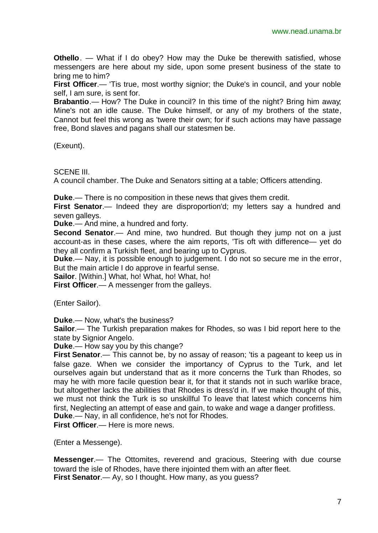**Othello**. — What if I do obey? How may the Duke be therewith satisfied, whose messengers are here about my side, upon some present business of the state to bring me to him?

**First Officer.**— 'Tis true, most worthy signior; the Duke's in council, and your noble self, I am sure, is sent for.

**Brabantio**.— How? The Duke in council? In this time of the night? Bring him away; Mine's not an idle cause. The Duke himself, or any of my brothers of the state, Cannot but feel this wrong as 'twere their own; for if such actions may have passage free, Bond slaves and pagans shall our statesmen be.

(Exeunt).

SCENE III.

A council chamber. The Duke and Senators sitting at a table; Officers attending.

**Duke**.— There is no composition in these news that gives them credit.

**First Senator.**— Indeed they are disproportion'd; my letters say a hundred and seven galleys.

**Duke**.— And mine, a hundred and forty.

**Second Senator.**— And mine, two hundred. But though they jump not on a just account-as in these cases, where the aim reports, 'Tis oft with difference— yet do they all confirm a Turkish fleet, and bearing up to Cyprus.

**Duke**.— Nay, it is possible enough to judgement. I do not so secure me in the error, But the main article I do approve in fearful sense.

**Sailor**. [Within.] What, ho! What, ho! What, ho!

**First Officer.**— A messenger from the galleys.

(Enter Sailor).

**Duke**.— Now, what's the business?

**Sailor**.— The Turkish preparation makes for Rhodes, so was I bid report here to the state by Signior Angelo.

**Duke**.— How say you by this change?

**First Senator.**— This cannot be, by no assay of reason; 'tis a pageant to keep us in false gaze. When we consider the importancy of Cyprus to the Turk, and let ourselves again but understand that as it more concerns the Turk than Rhodes, so may he with more facile question bear it, for that it stands not in such warlike brace, but altogether lacks the abilities that Rhodes is dress'd in. If we make thought of this, we must not think the Turk is so unskillful To leave that latest which concerns him first, Neglecting an attempt of ease and gain, to wake and wage a danger profitless. **Duke**.— Nay, in all confidence, he's not for Rhodes.

**First Officer**.— Here is more news.

(Enter a Messenge).

**Messenger**.— The Ottomites, reverend and gracious, Steering with due course toward the isle of Rhodes, have there injointed them with an after fleet. **First Senator.**— Ay, so I thought. How many, as you guess?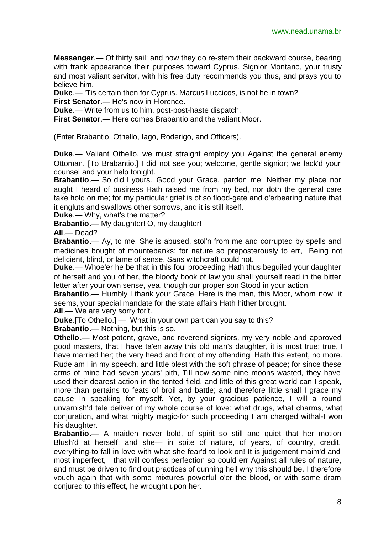**Messenger**.— Of thirty sail; and now they do re-stem their backward course, bearing with frank appearance their purposes toward Cyprus. Signior Montano, your trusty and most valiant servitor, with his free duty recommends you thus, and prays you to believe him.

**Duke**.— 'Tis certain then for Cyprus. Marcus Luccicos, is not he in town?

**First Senator**.— He's now in Florence.

**Duke**.— Write from us to him, post-post-haste dispatch.

**First Senator**.— Here comes Brabantio and the valiant Moor.

(Enter Brabantio, Othello, Iago, Roderigo, and Officers).

**Duke**.— Valiant Othello, we must straight employ you Against the general enemy Ottoman. [To Brabantio.] I did not see you; welcome, gentle signior; we lack'd your counsel and your help tonight.

**Brabantio**.— So did I yours. Good your Grace, pardon me: Neither my place nor aught I heard of business Hath raised me from my bed, nor doth the general care take hold on me; for my particular grief is of so flood-gate and o'erbearing nature that it engluts and swallows other sorrows, and it is still itself.

**Duke**.— Why, what's the matter?

**Brabantio**.— My daughter! O, my daughter!

**All**.— Dead?

**Brabantio**.— Ay, to me. She is abused, stol'n from me and corrupted by spells and medicines bought of mountebanks; for nature so preposterously to err, Being not deficient, blind, or lame of sense, Sans witchcraft could not.

**Duke**.— Whoe'er he be that in this foul proceeding Hath thus beguiled your daughter of herself and you of her, the bloody book of law you shall yourself read in the bitter letter after your own sense, yea, though our proper son Stood in your action.

**Brabantio**.— Humbly I thank your Grace. Here is the man, this Moor, whom now, it seems, your special mandate for the state affairs Hath hither brought.

**All**.— We are very sorry for't.

**Duke**.[To Othello.] — What in your own part can you say to this?

**Brabantio**.— Nothing, but this is so.

**Othello**.— Most potent, grave, and reverend signiors, my very noble and approved good masters, that I have ta'en away this old man's daughter, it is most true; true, I have married her; the very head and front of my offending Hath this extent, no more. Rude am I in my speech, and little blest with the soft phrase of peace; for since these arms of mine had seven years' pith, Till now some nine moons wasted, they have used their dearest action in the tented field, and little of this great world can I speak, more than pertains to feats of broil and battle; and therefore little shall I grace my cause In speaking for myself. Yet, by your gracious patience, I will a round unvarnish'd tale deliver of my whole course of love: what drugs, what charms, what conjuration, and what mighty magic-for such proceeding I am charged withal-I won his daughter.

**Brabantio**.— A maiden never bold, of spirit so still and quiet that her motion Blush'd at herself; and she— in spite of nature, of years, of country, credit, everything-to fall in love with what she fear'd to look on! It is judgement maim'd and most imperfect, that will confess perfection so could err Against all rules of nature, and must be driven to find out practices of cunning hell why this should be. I therefore vouch again that with some mixtures powerful o'er the blood, or with some dram conjured to this effect, he wrought upon her.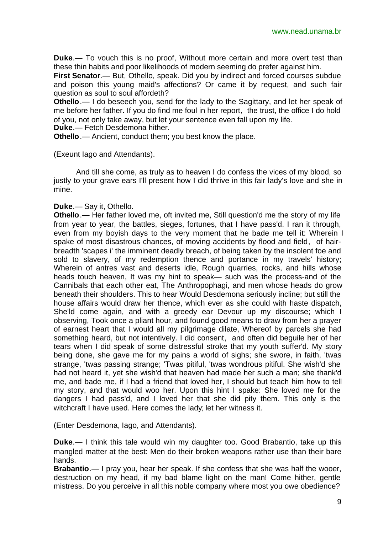**Duke**.— To vouch this is no proof, Without more certain and more overt test than these thin habits and poor likelihoods of modern seeming do prefer against him.

**First Senator**.— But, Othello, speak. Did you by indirect and forced courses subdue and poison this young maid's affections? Or came it by request, and such fair question as soul to soul affordeth?

**Othello**.— I do beseech you, send for the lady to the Sagittary, and let her speak of me before her father. If you do find me foul in her report, the trust, the office I do hold of you, not only take away, but let your sentence even fall upon my life.

**Duke**.— Fetch Desdemona hither.

**Othello**.— Ancient, conduct them; you best know the place.

(Exeunt Iago and Attendants).

And till she come, as truly as to heaven I do confess the vices of my blood, so justly to your grave ears I'll present how I did thrive in this fair lady's love and she in mine.

#### **Duke**.— Say it, Othello.

**Othello**.— Her father loved me, oft invited me, Still question'd me the story of my life from year to year, the battles, sieges, fortunes, that I have pass'd. I ran it through, even from my boyish days to the very moment that he bade me tell it: Wherein I spake of most disastrous chances, of moving accidents by flood and field, of hairbreadth 'scapes i' the imminent deadly breach, of being taken by the insolent foe and sold to slavery, of my redemption thence and portance in my travels' history; Wherein of antres vast and deserts idle, Rough quarries, rocks, and hills whose heads touch heaven, It was my hint to speak— such was the process-and of the Cannibals that each other eat, The Anthropophagi, and men whose heads do grow beneath their shoulders. This to hear Would Desdemona seriously incline; but still the house affairs would draw her thence, which ever as she could with haste dispatch, She'ld come again, and with a greedy ear Devour up my discourse; which I observing, Took once a pliant hour, and found good means to draw from her a prayer of earnest heart that I would all my pilgrimage dilate, Whereof by parcels she had something heard, but not intentively. I did consent, and often did beguile her of her tears when I did speak of some distressful stroke that my youth suffer'd. My story being done, she gave me for my pains a world of sighs; she swore, in faith, 'twas strange, 'twas passing strange; 'Twas pitiful, 'twas wondrous pitiful. She wish'd she had not heard it, yet she wish'd that heaven had made her such a man; she thank'd me, and bade me, if I had a friend that loved her, I should but teach him how to tell my story, and that would woo her. Upon this hint I spake: She loved me for the dangers I had pass'd, and I loved her that she did pity them. This only is the witchcraft I have used. Here comes the lady; let her witness it.

(Enter Desdemona, Iago, and Attendants).

**Duke**.— I think this tale would win my daughter too. Good Brabantio, take up this mangled matter at the best: Men do their broken weapons rather use than their bare hands.

**Brabantio**.— I pray you, hear her speak. If she confess that she was half the wooer, destruction on my head, if my bad blame light on the man! Come hither, gentle mistress. Do you perceive in all this noble company where most you owe obedience?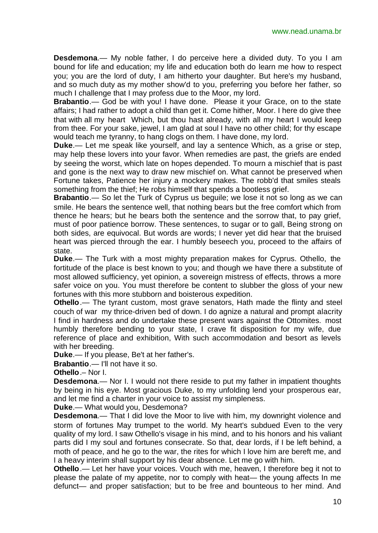**Desdemona**.— My noble father, I do perceive here a divided duty. To you I am bound for life and education; my life and education both do learn me how to respect you; you are the lord of duty, I am hitherto your daughter. But here's my husband, and so much duty as my mother show'd to you, preferring you before her father, so much I challenge that I may profess due to the Moor, my lord.

**Brabantio**.— God be with you! I have done. Please it your Grace, on to the state affairs; I had rather to adopt a child than get it. Come hither, Moor. I here do give thee that with all my heart Which, but thou hast already, with all my heart I would keep from thee. For your sake, jewel, I am glad at soul I have no other child; for thy escape would teach me tyranny, to hang clogs on them. I have done, my lord.

**Duke**.— Let me speak like yourself, and lay a sentence Which, as a grise or step, may help these lovers into your favor. When remedies are past, the griefs are ended by seeing the worst, which late on hopes depended. To mourn a mischief that is past and gone is the next way to draw new mischief on. What cannot be preserved when Fortune takes, Patience her injury a mockery makes. The robb'd that smiles steals something from the thief; He robs himself that spends a bootless grief.

**Brabantio**.— So let the Turk of Cyprus us beguile; we lose it not so long as we can smile. He bears the sentence well, that nothing bears but the free comfort which from thence he hears; but he bears both the sentence and the sorrow that, to pay grief, must of poor patience borrow. These sentences, to sugar or to gall, Being strong on both sides, are equivocal. But words are words; I never yet did hear that the bruised heart was pierced through the ear. I humbly beseech you, proceed to the affairs of state.

**Duke**.— The Turk with a most mighty preparation makes for Cyprus. Othello, the fortitude of the place is best known to you; and though we have there a substitute of most allowed sufficiency, yet opinion, a sovereign mistress of effects, throws a more safer voice on you. You must therefore be content to slubber the gloss of your new fortunes with this more stubborn and boisterous expedition.

**Othello**.— The tyrant custom, most grave senators, Hath made the flinty and steel couch of war my thrice-driven bed of down. I do agnize a natural and prompt alacrity I find in hardness and do undertake these present wars against the Ottomites. most humbly therefore bending to your state, I crave fit disposition for my wife, due reference of place and exhibition, With such accommodation and besort as levels with her breeding.

**Duke**.— If you please, Be't at her father's.

**Brabantio**.— I'll not have it so.

**Othello**.– Nor I.

**Desdemona**.— Nor I. I would not there reside to put my father in impatient thoughts by being in his eye. Most gracious Duke, to my unfolding lend your prosperous ear, and let me find a charter in your voice to assist my simpleness.

**Duke**.— What would you, Desdemona?

**Desdemona.**— That I did love the Moor to live with him, my downright violence and storm of fortunes May trumpet to the world. My heart's subdued Even to the very quality of my lord. I saw Othello's visage in his mind, and to his honors and his valiant parts did I my soul and fortunes consecrate. So that, dear lords, if I be left behind, a moth of peace, and he go to the war, the rites for which I love him are bereft me, and I a heavy interim shall support by his dear absence. Let me go with him.

**Othello**.— Let her have your voices. Vouch with me, heaven, I therefore beg it not to please the palate of my appetite, nor to comply with heat— the young affects In me defunct— and proper satisfaction; but to be free and bounteous to her mind. And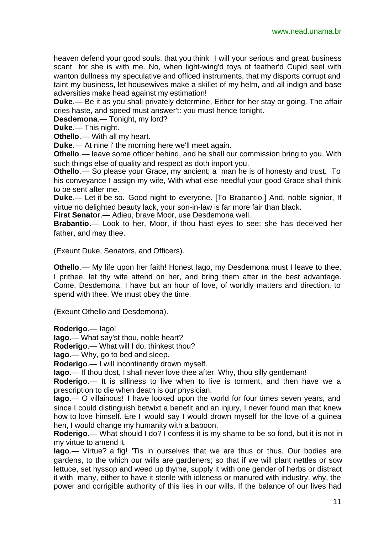heaven defend your good souls, that you think I will your serious and great business scant for she is with me. No, when light-wing'd toys of feather'd Cupid seel with wanton dullness my speculative and officed instruments, that my disports corrupt and taint my business, let housewives make a skillet of my helm, and all indign and base adversities make head against my estimation!

**Duke**.— Be it as you shall privately determine, Either for her stay or going. The affair cries haste, and speed must answer't: you must hence tonight.

**Desdemona**.— Tonight, my lord?

**Duke**.— This night.

**Othello**.— With all my heart.

**Duke**.— At nine i' the morning here we'll meet again.

**Othello**,— leave some officer behind, and he shall our commission bring to you, With such things else of quality and respect as doth import you.

**Othello**.— So please your Grace, my ancient; a man he is of honesty and trust. To his conveyance I assign my wife, With what else needful your good Grace shall think to be sent after me.

**Duke**.— Let it be so. Good night to everyone. [To Brabantio.] And, noble signior, If virtue no delighted beauty lack, your son-in-law is far more fair than black.

**First Senator**.— Adieu, brave Moor, use Desdemona well.

**Brabantio**.— Look to her, Moor, if thou hast eyes to see; she has deceived her father, and may thee.

(Exeunt Duke, Senators, and Officers).

**Othello**.— My life upon her faith! Honest lago, my Desdemona must I leave to thee. I prithee, let thy wife attend on her, and bring them after in the best advantage. Come, Desdemona, I have but an hour of love, of worldly matters and direction, to spend with thee. We must obey the time.

(Exeunt Othello and Desdemona).

**Roderigo**.— Iago!

**Iago**.— What say'st thou, noble heart?

**Roderigo**.— What will I do, thinkest thou?

**Iago**.— Why, go to bed and sleep.

**Roderigo**.— I will incontinently drown myself.

**Iago**.— If thou dost, I shall never love thee after. Why, thou silly gentleman!

**Roderigo**.— It is silliness to live when to live is torment, and then have we a prescription to die when death is our physician.

**Iago**.— O villainous! I have looked upon the world for four times seven years, and since I could distinguish betwixt a benefit and an injury, I never found man that knew how to love himself. Ere I would say I would drown myself for the love of a guinea hen, I would change my humanity with a baboon.

**Roderigo**.— What should I do? I confess it is my shame to be so fond, but it is not in my virtue to amend it.

**Iago**.— Virtue? a fig! 'Tis in ourselves that we are thus or thus. Our bodies are gardens, to the which our wills are gardeners; so that if we will plant nettles or sow lettuce, set hyssop and weed up thyme, supply it with one gender of herbs or distract it with many, either to have it sterile with idleness or manured with industry, why, the power and corrigible authority of this lies in our wills. If the balance of our lives had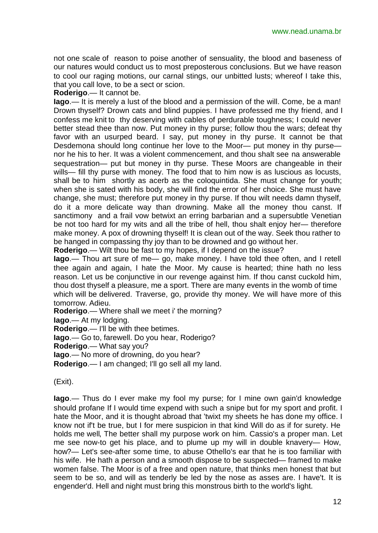not one scale of reason to poise another of sensuality, the blood and baseness of our natures would conduct us to most preposterous conclusions. But we have reason to cool our raging motions, our carnal stings, our unbitted lusts; whereof I take this, that you call love, to be a sect or scion.

**Roderigo**.— It cannot be.

**Iago**.— It is merely a lust of the blood and a permission of the will. Come, be a man! Drown thyself? Drown cats and blind puppies. I have professed me thy friend, and I confess me knit to thy deserving with cables of perdurable toughness; I could never better stead thee than now. Put money in thy purse; follow thou the wars; defeat thy favor with an usurped beard. I say, put money in thy purse. It cannot be that Desdemona should long continue her love to the Moor— put money in thy purse nor he his to her. It was a violent commencement, and thou shalt see na answerable sequestration— put but money in thy purse. These Moors are changeable in their wills— fill thy purse with money. The food that to him now is as luscious as locusts, shall be to him shortly as acerb as the coloquintida. She must change for youth; when she is sated with his body, she will find the error of her choice. She must have change, she must; therefore put money in thy purse. If thou wilt needs damn thyself, do it a more delicate way than drowning. Make all the money thou canst. If sanctimony and a frail vow betwixt an erring barbarian and a supersubtle Venetian be not too hard for my wits and all the tribe of hell, thou shalt enjoy her— therefore make money. A pox of drowning thyself! It is clean out of the way. Seek thou rather to be hanged in compassing thy joy than to be drowned and go without her.

**Roderigo**.— Wilt thou be fast to my hopes, if I depend on the issue?

**Iago**.— Thou art sure of me— go, make money. I have told thee often, and I retell thee again and again, I hate the Moor. My cause is hearted; thine hath no less reason. Let us be conjunctive in our revenge against him. If thou canst cuckold him, thou dost thyself a pleasure, me a sport. There are many events in the womb of time which will be delivered. Traverse, go, provide thy money. We will have more of this tomorrow. Adieu.

**Roderigo**.— Where shall we meet i' the morning?

**Iago**.— At my lodging.

**Roderigo**.— I'll be with thee betimes.

**Iago**.— Go to, farewell. Do you hear, Roderigo?

**Roderigo**.— What say you?

**Iago**.— No more of drowning, do you hear?

**Roderigo**.— I am changed; I'll go sell all my land.

(Exit).

**Iago**.— Thus do I ever make my fool my purse; for I mine own gain'd knowledge should profane If I would time expend with such a snipe but for my sport and profit. I hate the Moor, and it is thought abroad that 'twixt my sheets he has done my office. I know not if't be true, but I for mere suspicion in that kind Will do as if for surety. He holds me well, The better shall my purpose work on him. Cassio's a proper man. Let me see now-to get his place, and to plume up my will in double knavery— How, how?— Let's see-after some time, to abuse Othello's ear that he is too familiar with his wife. He hath a person and a smooth dispose to be suspected— framed to make women false. The Moor is of a free and open nature, that thinks men honest that but seem to be so, and will as tenderly be led by the nose as asses are. I have't. It is engender'd. Hell and night must bring this monstrous birth to the world's light.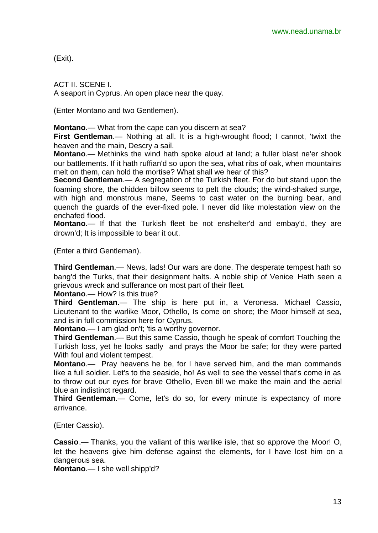(Exit).

ACT II. SCENE I. A seaport in Cyprus. An open place near the quay.

(Enter Montano and two Gentlemen).

**Montano**.— What from the cape can you discern at sea?

**First Gentleman**.— Nothing at all. It is a high-wrought flood; I cannot, 'twixt the heaven and the main, Descry a sail.

**Montano**.— Methinks the wind hath spoke aloud at land; a fuller blast ne'er shook our battlements. If it hath ruffian'd so upon the sea, what ribs of oak, when mountains melt on them, can hold the mortise? What shall we hear of this?

**Second Gentleman**.— A segregation of the Turkish fleet. For do but stand upon the foaming shore, the chidden billow seems to pelt the clouds; the wind-shaked surge, with high and monstrous mane, Seems to cast water on the burning bear, and quench the guards of the ever-fixed pole. I never did like molestation view on the enchafed flood.

**Montano**.— If that the Turkish fleet be not enshelter'd and embay'd, they are drown'd; It is impossible to bear it out.

(Enter a third Gentleman).

**Third Gentleman**.— News, lads! Our wars are done. The desperate tempest hath so bang'd the Turks, that their designment halts. A noble ship of Venice Hath seen a grievous wreck and sufferance on most part of their fleet.

**Montano**.— How? Is this true?

**Third Gentleman**.— The ship is here put in, a Veronesa. Michael Cassio, Lieutenant to the warlike Moor, Othello, Is come on shore; the Moor himself at sea, and is in full commission here for Cyprus.

**Montano**.— I am glad on't; 'tis a worthy governor.

**Third Gentleman**.— But this same Cassio, though he speak of comfort Touching the Turkish loss, yet he looks sadly and prays the Moor be safe; for they were parted With foul and violent tempest.

**Montano**.— Pray heavens he be, for I have served him, and the man commands like a full soldier. Let's to the seaside, ho! As well to see the vessel that's come in as to throw out our eyes for brave Othello, Even till we make the main and the aerial blue an indistinct regard.

**Third Gentleman**.— Come, let's do so, for every minute is expectancy of more arrivance.

(Enter Cassio).

**Cassio**.— Thanks, you the valiant of this warlike isle, that so approve the Moor! O, let the heavens give him defense against the elements, for I have lost him on a dangerous sea.

**Montano**.— I she well shipp'd?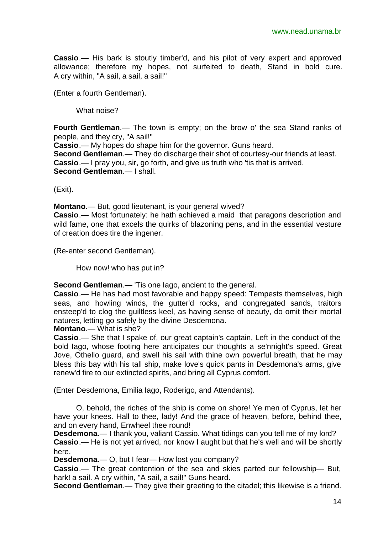**Cassio**.— His bark is stoutly timber'd, and his pilot of very expert and approved allowance; therefore my hopes, not surfeited to death, Stand in bold cure. A cry within, "A sail, a sail, a sail!"

(Enter a fourth Gentleman).

What noise?

**Fourth Gentleman**.— The town is empty; on the brow o' the sea Stand ranks of people, and they cry, "A sail!"

**Cassio**.— My hopes do shape him for the governor. Guns heard.

**Second Gentleman**.— They do discharge their shot of courtesy-our friends at least. **Cassio**.— I pray you, sir, go forth, and give us truth who 'tis that is arrived. **Second Gentleman**.— I shall.

(Exit).

**Montano**.— But, good lieutenant, is your general wived? **Cassio**.— Most fortunately: he hath achieved a maid that paragons description and wild fame, one that excels the quirks of blazoning pens, and in the essential vesture of creation does tire the ingener.

(Re-enter second Gentleman).

How now! who has put in?

**Second Gentleman**.— 'Tis one Iago, ancient to the general.

**Cassio**.— He has had most favorable and happy speed: Tempests themselves, high seas, and howling winds, the gutter'd rocks, and congregated sands, traitors ensteep'd to clog the guiltless keel, as having sense of beauty, do omit their mortal natures, letting go safely by the divine Desdemona.

**Montano**.— What is she?

**Cassio**.— She that I spake of, our great captain's captain, Left in the conduct of the bold Iago, whose footing here anticipates our thoughts a se'nnight's speed. Great Jove, Othello guard, and swell his sail with thine own powerful breath, that he may bless this bay with his tall ship, make love's quick pants in Desdemona's arms, give renew'd fire to our extincted spirits, and bring all Cyprus comfort.

(Enter Desdemona, Emilia Iago, Roderigo, and Attendants).

O, behold, the riches of the ship is come on shore! Ye men of Cyprus, let her have your knees. Hall to thee, lady! And the grace of heaven, before, behind thee, and on every hand, Enwheel thee round!

**Desdemona**.— I thank you, valiant Cassio. What tidings can you tell me of my lord? **Cassio**.— He is not yet arrived, nor know I aught but that he's well and will be shortly here.

**Desdemona**.— O, but I fear— How lost you company?

**Cassio**.— The great contention of the sea and skies parted our fellowship— But, hark! a sail. A cry within, "A sail, a sail!" Guns heard.

**Second Gentleman**.— They give their greeting to the citadel; this likewise is a friend.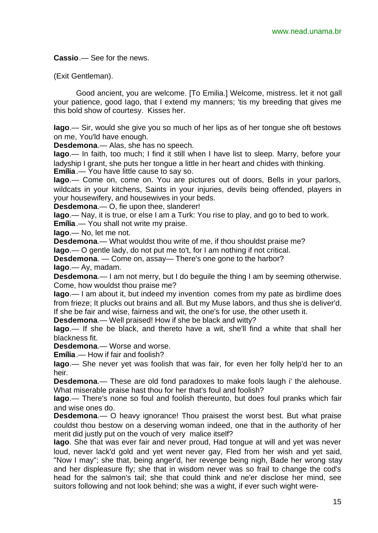**Cassio**.— See for the news.

(Exit Gentleman).

Good ancient, you are welcome. [To Emilia.] Welcome, mistress. let it not gall your patience, good lago, that I extend my manners; 'tis my breeding that gives me this bold show of courtesy. Kisses her.

**Iago**.— Sir, would she give you so much of her lips as of her tongue she oft bestows on me, You'ld have enough.

**Desdemona**.— Alas, she has no speech.

**Iago**.— In faith, too much; I find it still when I have list to sleep. Marry, before your ladyship I grant, she puts her tongue a little in her heart and chides with thinking. **Emília**.— You have little cause to say so.

**Iago**.— Come on, come on. You are pictures out of doors, Bells in your parlors, wildcats in your kitchens, Saints in your injuries, devils being offended, players in your housewifery, and housewives in your beds.

**Desdemona**.— O, fie upon thee, slanderer!

**Iago**.— Nay, it is true, or else I am a Turk: You rise to play, and go to bed to work.

**Emília**.— You shall not write my praise.

**Iago**.— No, let me not.

**Desdemona**.— What wouldst thou write of me, if thou shouldst praise me?

**Iago**.— O gentle lady, do not put me to't, for I am nothing if not critical.

**Desdemona**. — Come on, assay— There's one gone to the harbor?

**Iago**.— Ay, madam.

**Desdemona**.— I am not merry, but I do beguile the thing I am by seeming otherwise. Come, how wouldst thou praise me?

**Iago**.— I am about it, but indeed my invention comes from my pate as birdlime does from frieze; It plucks out brains and all. But my Muse labors, and thus she is deliver'd. If she be fair and wise, fairness and wit, the one's for use, the other useth it.

**Desdemona**.— Well praised! How if she be black and witty?

**Iago**.— If she be black, and thereto have a wit, she'll find a white that shall her blackness fit.

**Desdemona**.— Worse and worse.

**Emília**.— How if fair and foolish?

**Iago**.— She never yet was foolish that was fair, for even her folly help'd her to an heir.

**Desdemona**.— These are old fond paradoxes to make fools laugh i' the alehouse. What miserable praise hast thou for her that's foul and foolish?

**Iago**.— There's none so foul and foolish thereunto, but does foul pranks which fair and wise ones do.

**Desdemona**.— O heavy ignorance! Thou praisest the worst best. But what praise couldst thou bestow on a deserving woman indeed, one that in the authority of her merit did justly put on the vouch of very malice itself?

**Iago**. She that was ever fair and never proud, Had tongue at will and yet was never loud, never lack'd gold and yet went never gay, Fled from her wish and yet said, "Now I may"; she that, being anger'd, her revenge being nigh, Bade her wrong stay and her displeasure fly; she that in wisdom never was so frail to change the cod's head for the salmon's tail; she that could think and ne'er disclose her mind, see suitors following and not look behind; she was a wight, if ever such wight were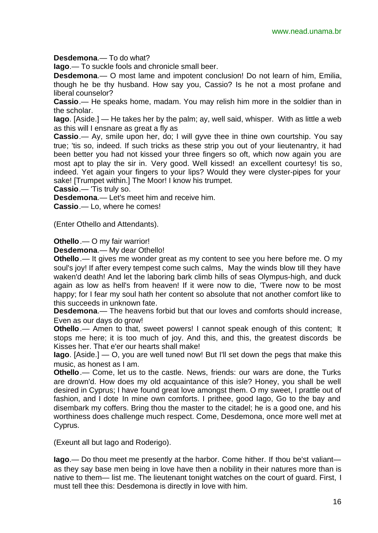**Desdemona**.— To do what?

**Iago**.— To suckle fools and chronicle small beer.

**Desdemona**.— O most lame and impotent conclusion! Do not learn of him, Emilia, though he be thy husband. How say you, Cassio? Is he not a most profane and liberal counselor?

**Cassio**.— He speaks home, madam. You may relish him more in the soldier than in the scholar.

**Iago**. [Aside.] — He takes her by the palm; ay, well said, whisper. With as little a web as this will I ensnare as great a fly as

**Cassio**.— Ay, smile upon her, do; I will gyve thee in thine own courtship. You say true; 'tis so, indeed. If such tricks as these strip you out of your lieutenantry, it had been better you had not kissed your three fingers so oft, which now again you are most apt to play the sir in. Very good. Well kissed! an excellent courtesy! tis so, indeed. Yet again your fingers to your lips? Would they were clyster-pipes for your sake! [Trumpet within.] The Moor! I know his trumpet.

**Cassio**.— 'Tis truly so.

**Desdemona**.— Let's meet him and receive him.

**Cassio**.— Lo, where he comes!

(Enter Othello and Attendants).

**Othello**.— O my fair warrior!

**Desdemona**.— My dear Othello!

**Othello**.— It gives me wonder great as my content to see you here before me. O my soul's joy! If after every tempest come such calms, May the winds blow till they have waken'd death! And let the laboring bark climb hills of seas Olympus-high, and duck again as low as hell's from heaven! If it were now to die, 'Twere now to be most happy; for I fear my soul hath her content so absolute that not another comfort like to this succeeds in unknown fate.

**Desdemona**.— The heavens forbid but that our loves and comforts should increase, Even as our days do grow!

**Othello**.— Amen to that, sweet powers! I cannot speak enough of this content; It stops me here; it is too much of joy. And this, and this, the greatest discords be Kisses her. That e'er our hearts shall make!

**Iago**. [Aside.] — O, you are well tuned now! But I'll set down the pegs that make this music, as honest as I am.

**Othello**.— Come, let us to the castle. News, friends: our wars are done, the Turks are drown'd. How does my old acquaintance of this isle? Honey, you shall be well desired in Cyprus; I have found great love amongst them. O my sweet, I prattle out of fashion, and I dote In mine own comforts. I prithee, good Iago, Go to the bay and disembark my coffers. Bring thou the master to the citadel; he is a good one, and his worthiness does challenge much respect. Come, Desdemona, once more well met at Cyprus.

(Exeunt all but Iago and Roderigo).

**Iago**.— Do thou meet me presently at the harbor. Come hither. If thou be'st valiant as they say base men being in love have then a nobility in their natures more than is native to them— list me. The lieutenant tonight watches on the court of guard. First, I must tell thee this: Desdemona is directly in love with him.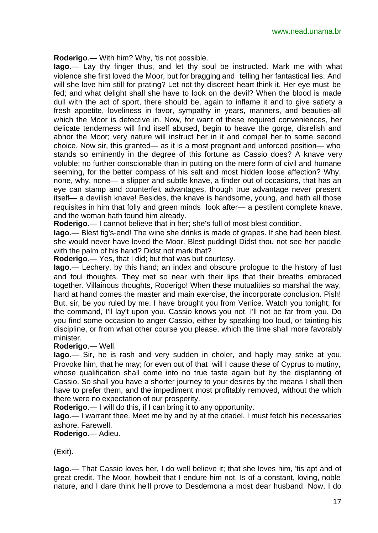**Roderigo**.— With him? Why, 'tis not possible.

**Iago**.— Lay thy finger thus, and let thy soul be instructed. Mark me with what violence she first loved the Moor, but for bragging and telling her fantastical lies. And will she love him still for prating? Let not thy discreet heart think it. Her eye must be fed; and what delight shall she have to look on the devil? When the blood is made dull with the act of sport, there should be, again to inflame it and to give satiety a fresh appetite, loveliness in favor, sympathy in years, manners, and beauties-all which the Moor is defective in. Now, for want of these required conveniences, her delicate tenderness will find itself abused, begin to heave the gorge, disrelish and abhor the Moor; very nature will instruct her in it and compel her to some second choice. Now sir, this granted— as it is a most pregnant and unforced position— who stands so eminently in the degree of this fortune as Cassio does? A knave very voluble; no further conscionable than in putting on the mere form of civil and humane seeming, for the better compass of his salt and most hidden loose affection? Why, none, why, none— a slipper and subtle knave, a finder out of occasions, that has an eye can stamp and counterfeit advantages, though true advantage never present itself— a devilish knave! Besides, the knave is handsome, young, and hath all those requisites in him that folly and green minds look after— a pestilent complete knave, and the woman hath found him already.

**Roderigo**.— I cannot believe that in her; she's full of most blest condition.

**Iago**.— Blest fig's-end! The wine she drinks is made of grapes. If she had been blest, she would never have loved the Moor. Blest pudding! Didst thou not see her paddle with the palm of his hand? Didst not mark that?

**Roderigo**.— Yes, that I did; but that was but courtesy.

**Iago**.— Lechery, by this hand; an index and obscure prologue to the history of lust and foul thoughts. They met so near with their lips that their breaths embraced together. Villainous thoughts, Roderigo! When these mutualities so marshal the way, hard at hand comes the master and main exercise, the incorporate conclusion. Pish! But, sir, be you ruled by me. I have brought you from Venice. Watch you tonight; for the command, I'll lay't upon you. Cassio knows you not. I'll not be far from you. Do you find some occasion to anger Cassio, either by speaking too loud, or tainting his discipline, or from what other course you please, which the time shall more favorably minister.

**Roderigo**.— Well.

**Iago**.— Sir, he is rash and very sudden in choler, and haply may strike at you. Provoke him, that he may; for even out of that will I cause these of Cyprus to mutiny, whose qualification shall come into no true taste again but by the displanting of Cassio. So shall you have a shorter journey to your desires by the means I shall then have to prefer them, and the impediment most profitably removed, without the which there were no expectation of our prosperity.

**Roderigo**.— I will do this, if I can bring it to any opportunity.

**Iago**.— I warrant thee. Meet me by and by at the citadel. I must fetch his necessaries ashore. Farewell.

**Roderigo**.— Adieu.

(Exit).

**Iago**.— That Cassio loves her, I do well believe it; that she loves him, 'tis apt and of great credit. The Moor, howbeit that I endure him not, Is of a constant, loving, noble nature, and I dare think he'll prove to Desdemona a most dear husband. Now, I do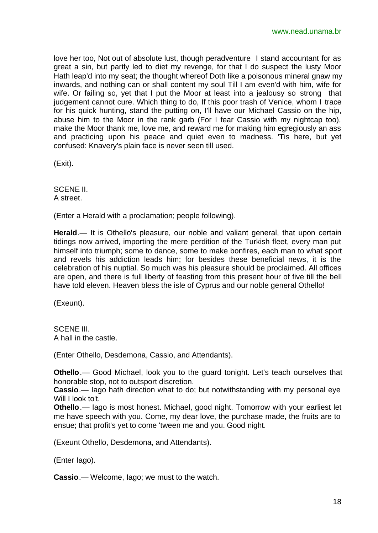love her too, Not out of absolute lust, though peradventure I stand accountant for as great a sin, but partly led to diet my revenge, for that I do suspect the lusty Moor Hath leap'd into my seat; the thought whereof Doth like a poisonous mineral gnaw my inwards, and nothing can or shall content my soul Till I am even'd with him, wife for wife. Or failing so, yet that I put the Moor at least into a jealousy so strong that judgement cannot cure. Which thing to do, If this poor trash of Venice, whom I trace for his quick hunting, stand the putting on, I'll have our Michael Cassio on the hip, abuse him to the Moor in the rank garb (For I fear Cassio with my nightcap too), make the Moor thank me, love me, and reward me for making him egregiously an ass and practicing upon his peace and quiet even to madness. 'Tis here, but yet confused: Knavery's plain face is never seen till used.

(Exit).

SCENE II. A street.

(Enter a Herald with a proclamation; people following).

**Herald**.— It is Othello's pleasure, our noble and valiant general, that upon certain tidings now arrived, importing the mere perdition of the Turkish fleet, every man put himself into triumph; some to dance, some to make bonfires, each man to what sport and revels his addiction leads him; for besides these beneficial news, it is the celebration of his nuptial. So much was his pleasure should be proclaimed. All offices are open, and there is full liberty of feasting from this present hour of five till the bell have told eleven. Heaven bless the isle of Cyprus and our noble general Othello!

(Exeunt).

SCENE III. A hall in the castle.

(Enter Othello, Desdemona, Cassio, and Attendants).

**Othello**.— Good Michael, look you to the guard tonight. Let's teach ourselves that honorable stop, not to outsport discretion.

**Cassio**.— Iago hath direction what to do; but notwithstanding with my personal eye Will I look to't.

**Othello**.— Iago is most honest. Michael, good night. Tomorrow with your earliest let me have speech with you. Come, my dear love, the purchase made, the fruits are to ensue; that profit's yet to come 'tween me and you. Good night.

(Exeunt Othello, Desdemona, and Attendants).

(Enter Iago).

**Cassio**.— Welcome, Iago; we must to the watch.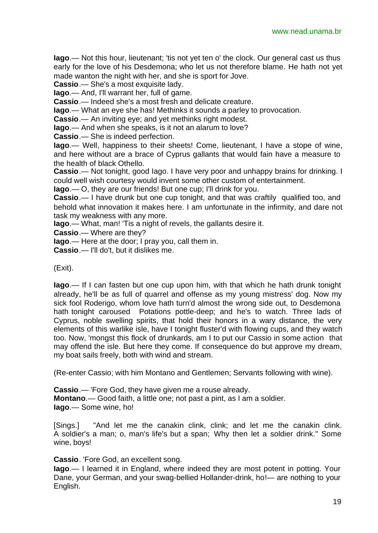**Iago**.— Not this hour, lieutenant; 'tis not yet ten o' the clock. Our general cast us thus early for the love of his Desdemona; who let us not therefore blame. He hath not yet made wanton the night with her, and she is sport for Jove.

**Cassio**.— She's a most exquisite lady.

**Iago**.— And, I'll warrant her, full of game.

**Cassio**.— Indeed she's a most fresh and delicate creature.

**Iago**.— What an eye she has! Methinks it sounds a parley to provocation.

**Cassio**.— An inviting eye; and yet methinks right modest.

**Iago**.— And when she speaks, is it not an alarum to love?

**Cassio**.— She is indeed perfection.

**Iago**.— Well, happiness to their sheets! Come, lieutenant, I have a stope of wine, and here without are a brace of Cyprus gallants that would fain have a measure to the health of black Othello.

**Cassio**.— Not tonight, good Iago. I have very poor and unhappy brains for drinking. I could well wish courtesy would invent some other custom of entertainment.

**Iago**.— O, they are our friends! But one cup; I'll drink for you.

**Cassio**.— I have drunk but one cup tonight, and that was craftily qualified too, and behold what innovation it makes here. I am unfortunate in the infirmity, and dare not task my weakness with any more.

**Iago**.— What, man! 'Tis a night of revels, the gallants desire it.

**Cassio**.— Where are they?

**Iago**.— Here at the door; I pray you, call them in.

**Cassio**.— I'll do't, but it dislikes me.

(Exit).

**Iago**.— If I can fasten but one cup upon him, with that which he hath drunk tonight already, he'll be as full of quarrel and offense as my young mistress' dog. Now my sick fool Roderigo, whom love hath turn'd almost the wrong side out, to Desdemona hath tonight caroused Potations pottle-deep; and he's to watch. Three lads of Cyprus, noble swelling spirits, that hold their honors in a wary distance, the very elements of this warlike isle, have I tonight fluster'd with flowing cups, and they watch too. Now, 'mongst this flock of drunkards, am I to put our Cassio in some action that may offend the isle. But here they come. If consequence do but approve my dream, my boat sails freely, both with wind and stream.

(Re-enter Cassio; with him Montano and Gentlemen; Servants following with wine).

**Cassio**.— 'Fore God, they have given me a rouse already. **Montano**.— Good faith, a little one; not past a pint, as I am a soldier. **Iago**.— Some wine, ho!

[Sings.] "And let me the canakin clink, clink; and let me the canakin clink. A soldier's a man; o, man's life's but a span; Why then let a soldier drink." Some wine, boys!

**Cassio**. 'Fore God, an excellent song.

**Iago**.— I learned it in England, where indeed they are most potent in potting. Your Dane, your German, and your swag-bellied Hollander-drink, ho!— are nothing to your English.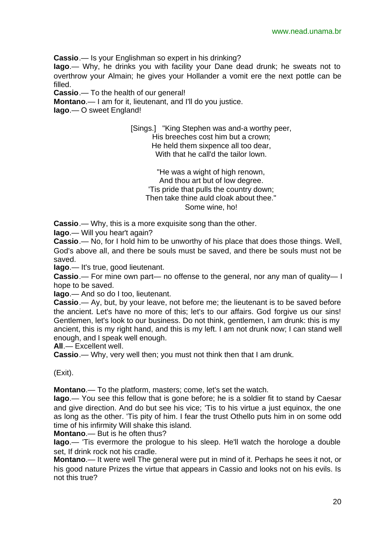**Cassio**.— Is your Englishman so expert in his drinking?

**Iago**.— Why, he drinks you with facility your Dane dead drunk; he sweats not to overthrow your Almain; he gives your Hollander a vomit ere the next pottle can be filled.

**Cassio**.— To the health of our general!

**Montano**.— I am for it, lieutenant, and I'll do you justice.

**Iago**.— O sweet England!

[Sings.] "King Stephen was and-a worthy peer, His breeches cost him but a crown; He held them sixpence all too dear, With that he call'd the tailor lown.

"He was a wight of high renown, And thou art but of low degree. 'Tis pride that pulls the country down; Then take thine auld cloak about thee." Some wine, ho!

**Cassio**.— Why, this is a more exquisite song than the other.

**Iago**.— Will you hear't again?

**Cassio**.— No, for I hold him to be unworthy of his place that does those things. Well, God's above all, and there be souls must be saved, and there be souls must not be saved.

**Iago**.— It's true, good lieutenant.

**Cassio**.— For mine own part— no offense to the general, nor any man of quality— I hope to be saved.

**Iago**.— And so do I too, lieutenant.

**Cassio**.— Ay, but, by your leave, not before me; the lieutenant is to be saved before the ancient. Let's have no more of this; let's to our affairs. God forgive us our sins! Gentlemen, let's look to our business. Do not think, gentlemen, I am drunk: this is my ancient, this is my right hand, and this is my left. I am not drunk now; I can stand well enough, and I speak well enough.

**All**.— Excellent well.

**Cassio**.— Why, very well then; you must not think then that I am drunk.

(Exit).

**Montano**.— To the platform, masters; come, let's set the watch.

**Iago**.— You see this fellow that is gone before; he is a soldier fit to stand by Caesar and give direction. And do but see his vice; 'Tis to his virtue a just equinox, the one as long as the other. 'Tis pity of him. I fear the trust Othello puts him in on some odd time of his infirmity Will shake this island.

**Montano**.— But is he often thus?

**Iago**.— 'Tis evermore the prologue to his sleep. He'll watch the horologe a double set, If drink rock not his cradle.

**Montano**.— It were well The general were put in mind of it. Perhaps he sees it not, or his good nature Prizes the virtue that appears in Cassio and looks not on his evils. Is not this true?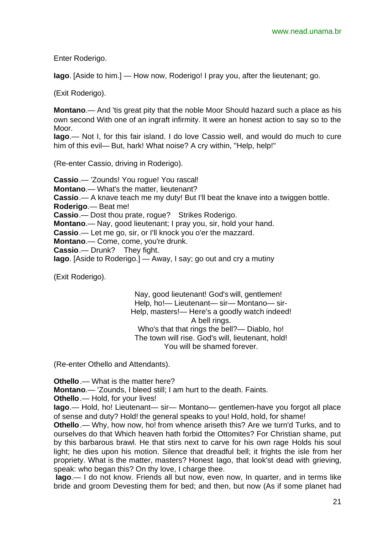Enter Roderigo.

**Iago**. [Aside to him.] — How now, Roderigo! I pray you, after the lieutenant; go.

(Exit Roderigo).

**Montano**.— And 'tis great pity that the noble Moor Should hazard such a place as his own second With one of an ingraft infirmity. It were an honest action to say so to the Moor.

**Iago**.— Not I, for this fair island. I do love Cassio well, and would do much to cure him of this evil— But, hark! What noise? A cry within, "Help, help!"

(Re-enter Cassio, driving in Roderigo).

**Cassio**.— 'Zounds! You rogue! You rascal! **Montano**.— What's the matter, lieutenant? **Cassio**.— A knave teach me my duty! But I'll beat the knave into a twiggen bottle. **Roderigo**.— Beat me! **Cassio**.— Dost thou prate, rogue? Strikes Roderigo. **Montano**.— Nay, good lieutenant; I pray you, sir, hold your hand. **Cassio**.— Let me go, sir, or I'll knock you o'er the mazzard. **Montano**.— Come, come, you're drunk. **Cassio**.— Drunk? They fight. **Iago**. [Aside to Roderigo.] — Away, I say; go out and cry a mutiny

(Exit Roderigo).

Nay, good lieutenant! God's will, gentlemen! Help, ho!— Lieutenant— sir— Montano— sir-Help, masters!— Here's a goodly watch indeed! A bell rings. Who's that that rings the bell?— Diablo, ho! The town will rise. God's will, lieutenant, hold! You will be shamed forever.

(Re-enter Othello and Attendants).

**Othello**.— What is the matter here?

**Montano**.— 'Zounds, I bleed still; I am hurt to the death. Faints.

**Othello**.— Hold, for your lives!

**Iago**.— Hold, ho! Lieutenant— sir— Montano— gentlemen-have you forgot all place of sense and duty? Hold! the general speaks to you! Hold, hold, for shame!

**Othello**.— Why, how now, ho! from whence ariseth this? Are we turn'd Turks, and to ourselves do that Which heaven hath forbid the Ottomites? For Christian shame, put by this barbarous brawl. He that stirs next to carve for his own rage Holds his soul light; he dies upon his motion. Silence that dreadful bell; it frights the isle from her propriety. What is the matter, masters? Honest Iago, that look'st dead with grieving, speak: who began this? On thy love, I charge thee.

**Iago**.— I do not know. Friends all but now, even now, In quarter, and in terms like bride and groom Devesting them for bed; and then, but now (As if some planet had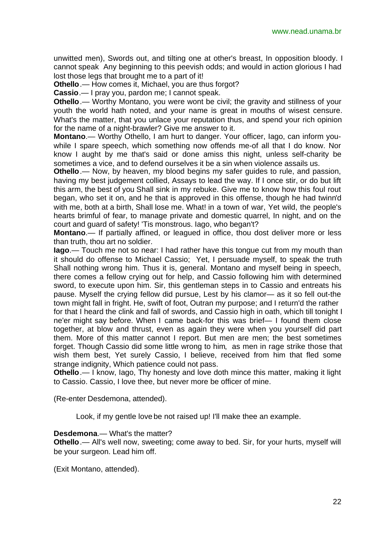unwitted men), Swords out, and tilting one at other's breast, In opposition bloody. I cannot speak Any beginning to this peevish odds; and would in action glorious I had lost those legs that brought me to a part of it!

**Othello**.— How comes it, Michael, you are thus forgot?

**Cassio**.— I pray you, pardon me; I cannot speak.

**Othello**.— Worthy Montano, you were wont be civil; the gravity and stillness of your youth the world hath noted, and your name is great in mouths of wisest censure. What's the matter, that you unlace your reputation thus, and spend your rich opinion for the name of a night-brawler? Give me answer to it.

**Montano**.— Worthy Othello, I am hurt to danger. Your officer, Iago, can inform youwhile I spare speech, which something now offends me-of all that I do know. Nor know I aught by me that's said or done amiss this night, unless self-charity be sometimes a vice, and to defend ourselves it be a sin when violence assails us.

**Othello**.— Now, by heaven, my blood begins my safer guides to rule, and passion, having my best judgement collied, Assays to lead the way. If I once stir, or do but lift this arm, the best of you Shall sink in my rebuke. Give me to know how this foul rout began, who set it on, and he that is approved in this offense, though he had twinn'd with me, both at a birth, Shall lose me. What! in a town of war, Yet wild, the people's hearts brimful of fear, to manage private and domestic quarrel, In night, and on the court and guard of safety! 'Tis monstrous. Iago, who began't?

**Montano**.— If partially affined, or leagued in office, thou dost deliver more or less than truth, thou art no soldier.

**Iago**.— Touch me not so near: I had rather have this tongue cut from my mouth than it should do offense to Michael Cassio; Yet, I persuade myself, to speak the truth Shall nothing wrong him. Thus it is, general. Montano and myself being in speech, there comes a fellow crying out for help, and Cassio following him with determined sword, to execute upon him. Sir, this gentleman steps in to Cassio and entreats his pause. Myself the crying fellow did pursue, Lest by his clamor— as it so fell out-the town might fall in fright. He, swift of foot, Outran my purpose; and I return'd the rather

for that I heard the clink and fall of swords, and Cassio high in oath, which till tonight I ne'er might say before. When I came back-for this was brief— I found them close together, at blow and thrust, even as again they were when you yourself did part them. More of this matter cannot I report. But men are men; the best sometimes forget. Though Cassio did some little wrong to him, as men in rage strike those that wish them best, Yet surely Cassio, I believe, received from him that fled some strange indignity, Which patience could not pass.

**Othello**.— I know, lago, Thy honesty and love doth mince this matter, making it light to Cassio. Cassio, I love thee, but never more be officer of mine.

(Re-enter Desdemona, attended).

Look, if my gentle love be not raised up! I'll make thee an example.

#### **Desdemona**.— What's the matter?

**Othello**.— All's well now, sweeting; come away to bed. Sir, for your hurts, myself will be your surgeon. Lead him off.

(Exit Montano, attended).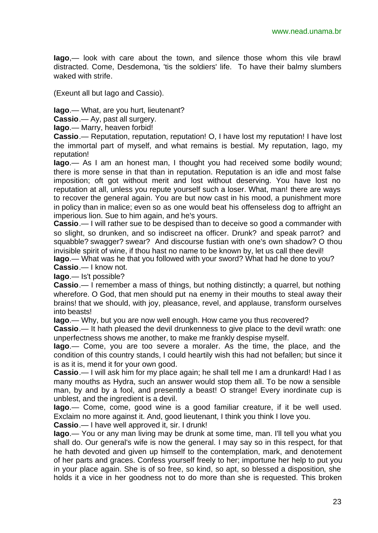**Iago**,— look with care about the town, and silence those whom this vile brawl distracted. Come, Desdemona, 'tis the soldiers' life. To have their balmy slumbers waked with strife.

(Exeunt all but Iago and Cassio).

**Iago**.— What, are you hurt, lieutenant?

**Cassio**.— Ay, past all surgery.

**Iago**.— Marry, heaven forbid!

**Cassio**.— Reputation, reputation, reputation! O, I have lost my reputation! I have lost the immortal part of myself, and what remains is bestial. My reputation, Iago, my reputation!

**Iago**.— As I am an honest man, I thought you had received some bodily wound; there is more sense in that than in reputation. Reputation is an idle and most false imposition; oft got without merit and lost without deserving. You have lost no reputation at all, unless you repute yourself such a loser. What, man! there are ways to recover the general again. You are but now cast in his mood, a punishment more in policy than in malice; even so as one would beat his offenseless dog to affright an imperious lion. Sue to him again, and he's yours.

**Cassio**.— I will rather sue to be despised than to deceive so good a commander with so slight, so drunken, and so indiscreet na officer. Drunk? and speak parrot? and squabble? swagger? swear? And discourse fustian with one's own shadow? O thou invisible spirit of wine, if thou hast no name to be known by, let us call thee devil! **Iago**.— What was he that you followed with your sword? What had he done to you? **Cassio**.— I know not.

**Iago**.— Is't possible?

**Cassio**.— I remember a mass of things, but nothing distinctly; a quarrel, but nothing wherefore. O God, that men should put na enemy in their mouths to steal away their brains! that we should, with joy, pleasance, revel, and applause, transform ourselves into beasts!

**Iago**.— Why, but you are now well enough. How came you thus recovered?

**Cassio**.— It hath pleased the devil drunkenness to give place to the devil wrath: one unperfectness shows me another, to make me frankly despise myself.

**Iago**.— Come, you are too severe a moraler. As the time, the place, and the condition of this country stands, I could heartily wish this had not befallen; but since it is as it is, mend it for your own good.

**Cassio**.— I will ask him for my place again; he shall tell me I am a drunkard! Had I as many mouths as Hydra, such an answer would stop them all. To be now a sensible man, by and by a fool, and presently a beast! O strange! Every inordinate cup is unblest, and the ingredient is a devil.

**Iago**.— Come, come, good wine is a good familiar creature, if it be well used. Exclaim no more against it. And, good lieutenant, I think you think I love you.

**Cassio**.— I have well approved it, sir. I drunk!

**Iago**.— You or any man living may be drunk at some time, man. I'll tell you what you shall do. Our general's wife is now the general. I may say so in this respect, for that he hath devoted and given up himself to the contemplation, mark, and denotement of her parts and graces. Confess yourself freely to her; importune her help to put you in your place again. She is of so free, so kind, so apt, so blessed a disposition, she holds it a vice in her goodness not to do more than she is requested. This broken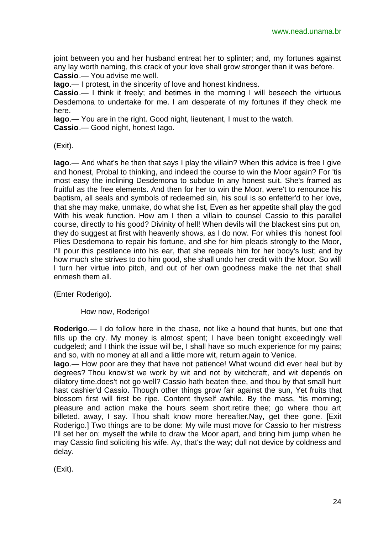joint between you and her husband entreat her to splinter; and, my fortunes against any lay worth naming, this crack of your love shall grow stronger than it was before. **Cassio**.— You advise me well.

**Iago**.— I protest, in the sincerity of love and honest kindness.

**Cassio.**— I think it freely; and betimes in the morning I will beseech the virtuous Desdemona to undertake for me. I am desperate of my fortunes if they check me here.

**Iago**.— You are in the right. Good night, lieutenant, I must to the watch.

**Cassio**.— Good night, honest Iago.

(Exit).

**Iago**.— And what's he then that says I play the villain? When this advice is free I give and honest, Probal to thinking, and indeed the course to win the Moor again? For 'tis most easy the inclining Desdemona to subdue In any honest suit. She's framed as fruitful as the free elements. And then for her to win the Moor, were't to renounce his baptism, all seals and symbols of redeemed sin, his soul is so enfetter'd to her love, that she may make, unmake, do what she list, Even as her appetite shall play the god With his weak function. How am I then a villain to counsel Cassio to this parallel course, directly to his good? Divinity of hell! When devils will the blackest sins put on, they do suggest at first with heavenly shows, as I do now. For whiles this honest fool Plies Desdemona to repair his fortune, and she for him pleads strongly to the Moor, I'll pour this pestilence into his ear, that she repeals him for her body's lust; and by how much she strives to do him good, she shall undo her credit with the Moor. So will I turn her virtue into pitch, and out of her own goodness make the net that shall enmesh them all.

(Enter Roderigo).

How now, Roderigo!

**Roderigo**.— I do follow here in the chase, not like a hound that hunts, but one that fills up the cry. My money is almost spent; I have been tonight exceedingly well cudgeled; and I think the issue will be, I shall have so much experience for my pains; and so, with no money at all and a little more wit, return again to Venice.

**Iago**.— How poor are they that have not patience! What wound did ever heal but by degrees? Thou know'st we work by wit and not by witchcraft, and wit depends on dilatory time.does't not go well? Cassio hath beaten thee, and thou by that small hurt hast cashier'd Cassio. Though other things grow fair against the sun, Yet fruits that blossom first will first be ripe. Content thyself awhile. By the mass, 'tis morning; pleasure and action make the hours seem short.retire thee; go where thou art billeted. away, I say. Thou shalt know more hereafter.Nay, get thee gone. [Exit Roderigo.] Two things are to be done: My wife must move for Cassio to her mistress I'll set her on; myself the while to draw the Moor apart, and bring him jump when he may Cassio find soliciting his wife. Ay, that's the way; dull not device by coldness and delay.

(Exit).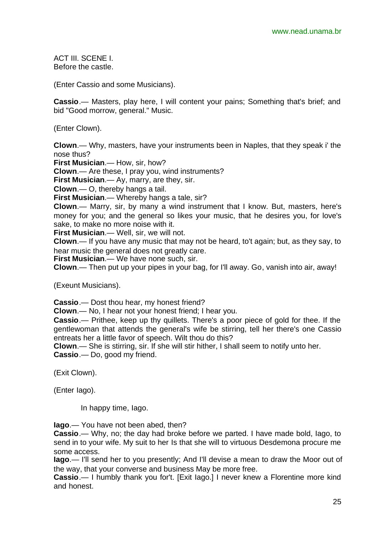ACT III. SCENE I. Before the castle.

(Enter Cassio and some Musicians).

**Cassio**.— Masters, play here, I will content your pains; Something that's brief; and bid "Good morrow, general." Music.

(Enter Clown).

**Clown**.— Why, masters, have your instruments been in Naples, that they speak i' the nose thus?

**First Musician**.— How, sir, how?

**Clown**.— Are these, I pray you, wind instruments?

**First Musician**.— Ay, marry, are they, sir.

**Clown**.— O, thereby hangs a tail.

**First Musician**.— Whereby hangs a tale, sir?

**Clown**.— Marry, sir, by many a wind instrument that I know. But, masters, here's money for you; and the general so likes your music, that he desires you, for love's sake, to make no more noise with it.

**First Musician**.— Well, sir, we will not.

**Clown**.— If you have any music that may not be heard, to't again; but, as they say, to hear music the general does not greatly care.

**First Musician**.— We have none such, sir.

**Clown**.— Then put up your pipes in your bag, for I'll away. Go, vanish into air, away!

(Exeunt Musicians).

**Cassio**.— Dost thou hear, my honest friend?

**Clown**.— No, I hear not your honest friend; I hear you.

**Cassio**.— Prithee, keep up thy quillets. There's a poor piece of gold for thee. If the gentlewoman that attends the general's wife be stirring, tell her there's one Cassio entreats her a little favor of speech. Wilt thou do this?

**Clown**.— She is stirring, sir. If she will stir hither, I shall seem to notify unto her. **Cassio**.— Do, good my friend.

(Exit Clown).

(Enter Iago).

In happy time, Iago.

**Iago**.— You have not been abed, then?

**Cassio**.— Why, no; the day had broke before we parted. I have made bold, Iago, to send in to your wife. My suit to her Is that she will to virtuous Desdemona procure me some access.

**Iago**.— I'll send her to you presently; And I'll devise a mean to draw the Moor out of the way, that your converse and business May be more free.

**Cassio**.— I humbly thank you for't. [Exit Iago.] I never knew a Florentine more kind and honest.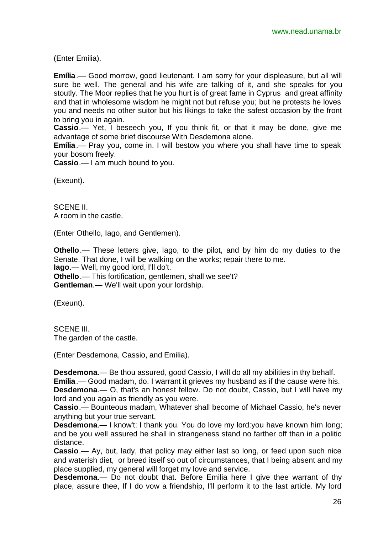(Enter Emilia).

**Emília**.— Good morrow, good lieutenant. I am sorry for your displeasure, but all will sure be well. The general and his wife are talking of it, and she speaks for you stoutly. The Moor replies that he you hurt is of great fame in Cyprus and great affinity and that in wholesome wisdom he might not but refuse you; but he protests he loves you and needs no other suitor but his likings to take the safest occasion by the front to bring you in again.

**Cassio**.— Yet, I beseech you, If you think fit, or that it may be done, give me advantage of some brief discourse With Desdemona alone.

**Emília**.— Pray you, come in. I will bestow you where you shall have time to speak your bosom freely.

**Cassio**.— I am much bound to you.

(Exeunt).

SCENE II. A room in the castle.

(Enter Othello, Iago, and Gentlemen).

**Othello**.— These letters give, Iago, to the pilot, and by him do my duties to the Senate. That done, I will be walking on the works; repair there to me. **Iago**.— Well, my good lord, I'll do't. **Othello**.— This fortification, gentlemen, shall we see't? **Gentleman**.— We'll wait upon your lordship.

(Exeunt).

SCENE III. The garden of the castle.

(Enter Desdemona, Cassio, and Emilia).

**Desdemona**.— Be thou assured, good Cassio, I will do all my abilities in thy behalf.

**Emília**.— Good madam, do. I warrant it grieves my husband as if the cause were his. **Desdemona**.— O, that's an honest fellow. Do not doubt, Cassio, but I will have my

lord and you again as friendly as you were.

**Cassio**.— Bounteous madam, Whatever shall become of Michael Cassio, he's never anything but your true servant.

**Desdemona**.— I know't: I thank you. You do love my lord:you have known him long; and be you well assured he shall in strangeness stand no farther off than in a politic distance.

**Cassio**.— Ay, but, lady, that policy may either last so long, or feed upon such nice and waterish diet, or breed itself so out of circumstances, that I being absent and my place supplied, my general will forget my love and service.

**Desdemona**.— Do not doubt that. Before Emilia here I give thee warrant of thy place, assure thee, If I do vow a friendship, I'll perform it to the last article. My lord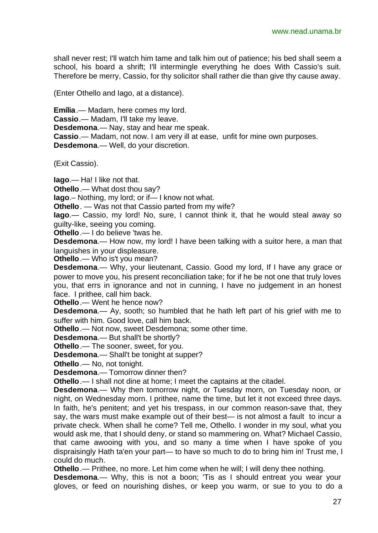shall never rest; I'll watch him tame and talk him out of patience; his bed shall seem a school, his board a shrift; I'll intermingle everything he does With Cassio's suit. Therefore be merry, Cassio, for thy solicitor shall rather die than give thy cause away.

(Enter Othello and Iago, at a distance).

**Emília**.— Madam, here comes my lord. **Cassio**.— Madam, I'll take my leave. **Desdemona**.— Nay, stay and hear me speak. **Cassio**.— Madam, not now. I am very ill at ease, unfit for mine own purposes. **Desdemona**.— Well, do your discretion.

(Exit Cassio).

**Iago**.— Ha! I like not that.

**Othello**.— What dost thou say?

**Iago**.– Nothing, my lord; or if— I know not what.

**Othello**. — Was not that Cassio parted from my wife?

**Iago**.— Cassio, my lord! No, sure, I cannot think it, that he would steal away so guilty-like, seeing you coming.

**Othello**.— I do believe 'twas he.

**Desdemona**.— How now, my lord! I have been talking with a suitor here, a man that languishes in your displeasure.

**Othello**.— Who is't you mean?

**Desdemona**.— Why, your lieutenant, Cassio. Good my lord, If I have any grace or power to move you, his present reconciliation take; for if he be not one that truly loves you, that errs in ignorance and not in cunning, I have no judgement in an honest face. I prithee, call him back.

**Othello**.— Went he hence now?

**Desdemona**.— Ay, sooth; so humbled that he hath left part of his grief with me to suffer with him. Good love, call him back.

**Othello**.— Not now, sweet Desdemona; some other time.

**Desdemona**.— But shall't be shortly?

**Othello**.— The sooner, sweet, for you.

**Desdemona**.— Shall't be tonight at supper?

**Othello**.— No, not tonight.

**Desdemona**.— Tomorrow dinner then?

**Othello**.— I shall not dine at home; I meet the captains at the citadel.

**Desdemona**.— Why then tomorrow night, or Tuesday morn, on Tuesday noon, or night, on Wednesday morn. I prithee, name the time, but let it not exceed three days. In faith, he's penitent; and yet his trespass, in our common reason-save that, they say, the wars must make example out of their best— is not almost a fault to incur a private check. When shall he come? Tell me, Othello. I wonder in my soul, what you would ask me, that I should deny, or stand so mammering on. What? Michael Cassio, that came awooing with you, and so many a time when I have spoke of you dispraisingly Hath ta'en your part— to have so much to do to bring him in! Trust me, I could do much.

**Othello**.— Prithee, no more. Let him come when he will; I will deny thee nothing.

**Desdemona**.— Why, this is not a boon; 'Tis as I should entreat you wear your gloves, or feed on nourishing dishes, or keep you warm, or sue to you to do a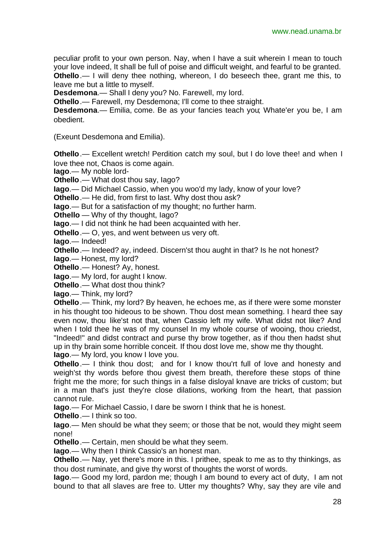peculiar profit to your own person. Nay, when I have a suit wherein I mean to touch your love indeed, It shall be full of poise and difficult weight, and fearful to be granted. **Othello**.— I will deny thee nothing, whereon, I do beseech thee, grant me this, to leave me but a little to myself.

**Desdemona**.— Shall I deny you? No. Farewell, my lord.

**Othello**.— Farewell, my Desdemona; I'll come to thee straight.

**Desdemona**.— Emilia, come. Be as your fancies teach you; Whate'er you be, I am obedient.

(Exeunt Desdemona and Emilia).

**Othello**.— Excellent wretch! Perdition catch my soul, but I do love thee! and when I love thee not, Chaos is come again.

**Iago**.— My noble lord-

**Othello**.— What dost thou say, Iago?

**Iago**.— Did Michael Cassio, when you woo'd my lady, know of your love?

**Othello**.— He did, from first to last. Why dost thou ask?

**Iago**.— But for a satisfaction of my thought; no further harm.

**Othello** — Why of thy thought, Iago?

**Iago**.— I did not think he had been acquainted with her.

**Othello**.— O, yes, and went between us very oft.

**Iago**.— Indeed!

**Othello**.— Indeed? ay, indeed. Discern'st thou aught in that? Is he not honest?

**Iago**.— Honest, my lord?

**Othello**.— Honest? Ay, honest.

**Iago**.— My lord, for aught I know.

**Othello**.— What dost thou think?

**Iago**.— Think, my lord?

**Othello**.— Think, my lord? By heaven, he echoes me, as if there were some monster in his thought too hideous to be shown. Thou dost mean something. I heard thee say even now, thou like'st not that, when Cassio left my wife. What didst not like? And when I told thee he was of my counsel In my whole course of wooing, thou criedst, "Indeed!" and didst contract and purse thy brow together, as if thou then hadst shut up in thy brain some horrible conceit. If thou dost love me, show me thy thought. **Iago**.— My lord, you know I love you.

**Othello**.— I think thou dost; and for I know thou'rt full of love and honesty and weigh'st thy words before thou givest them breath, therefore these stops of thine fright me the more; for such things in a false disloyal knave are tricks of custom; but in a man that's just they're close dilations, working from the heart, that passion cannot rule.

**Iago**.— For Michael Cassio, I dare be sworn I think that he is honest.

**Othello**.— I think so too.

**Iago**.— Men should be what they seem; or those that be not, would they might seem none!

**Othello**.— Certain, men should be what they seem.

**Iago**.— Why then I think Cassio's an honest man.

**Othello**.— Nay, yet there's more in this. I prithee, speak to me as to thy thinkings, as thou dost ruminate, and give thy worst of thoughts the worst of words.

**Iago**.— Good my lord, pardon me; though I am bound to every act of duty, I am not bound to that all slaves are free to. Utter my thoughts? Why, say they are vile and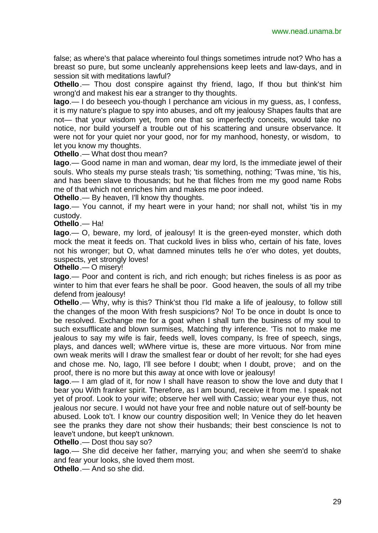false; as where's that palace whereinto foul things sometimes intrude not? Who has a breast so pure, but some uncleanly apprehensions keep leets and law-days, and in session sit with meditations lawful?

**Othello**.— Thou dost conspire against thy friend, lago, If thou but think'st him wrong'd and makest his ear a stranger to thy thoughts.

**Iago**.— I do beseech you-though I perchance am vicious in my guess, as, I confess, it is my nature's plague to spy into abuses, and oft my jealousy Shapes faults that are not— that your wisdom yet, from one that so imperfectly conceits, would take no notice, nor build yourself a trouble out of his scattering and unsure observance. It were not for your quiet nor your good, nor for my manhood, honesty, or wisdom, to let you know my thoughts.

**Othello**.— What dost thou mean?

**Iago**.— Good name in man and woman, dear my lord, Is the immediate jewel of their souls. Who steals my purse steals trash; 'tis something, nothing; 'Twas mine, 'tis his, and has been slave to thousands; but he that filches from me my good name Robs me of that which not enriches him and makes me poor indeed.

**Othello**.— By heaven, I'll know thy thoughts.

**Iago**.— You cannot, if my heart were in your hand; nor shall not, whilst 'tis in my custody.

**Othello**.— Ha!

**Iago**.— O, beware, my lord, of jealousy! It is the green-eyed monster, which doth mock the meat it feeds on. That cuckold lives in bliss who, certain of his fate, loves not his wronger; but O, what damned minutes tells he o'er who dotes, yet doubts, suspects, yet strongly loves!

**Othello**.— O misery!

**Iago**.— Poor and content is rich, and rich enough; but riches fineless is as poor as winter to him that ever fears he shall be poor. Good heaven, the souls of all my tribe defend from jealousy!

**Othello**.— Why, why is this? Think'st thou I'ld make a life of jealousy, to follow still the changes of the moon With fresh suspicions? No! To be once in doubt Is once to be resolved. Exchange me for a goat when I shall turn the business of my soul to such exsufflicate and blown surmises, Matching thy inference. 'Tis not to make me jealous to say my wife is fair, feeds well, loves company, Is free of speech, sings, plays, and dances well; wWhere virtue is, these are more virtuous. Nor from mine own weak merits will I draw the smallest fear or doubt of her revolt; for she had eyes and chose me. No, Iago, I'll see before I doubt; when I doubt, prove; and on the proof, there is no more but this away at once with love or jealousy!

**Iago**.— I am glad of it, for now I shall have reason to show the love and duty that I bear you With franker spirit. Therefore, as I am bound, receive it from me. I speak not yet of proof. Look to your wife; observe her well with Cassio; wear your eye thus, not jealous nor secure. I would not have your free and noble nature out of self-bounty be abused. Look to't. I know our country disposition well; In Venice they do let heaven see the pranks they dare not show their husbands; their best conscience Is not to leave't undone, but keep't unknown.

**Othello**.— Dost thou say so?

**Iago**.— She did deceive her father, marrying you; and when she seem'd to shake and fear your looks, she loved them most.

**Othello**.— And so she did.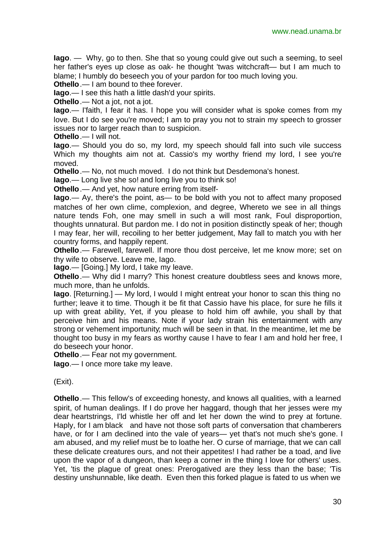**Iago**. — Why, go to then. She that so young could give out such a seeming, to seel her father's eyes up close as oak- he thought 'twas witchcraft— but I am much to blame; I humbly do beseech you of your pardon for too much loving you.

**Othello**.— I am bound to thee forever.

**Iago**.— I see this hath a little dash'd your spirits.

**Othello**.— Not a jot, not a jot.

**Iago**.— I'faith, I fear it has. I hope you will consider what is spoke comes from my love. But I do see you're moved; I am to pray you not to strain my speech to grosser issues nor to larger reach than to suspicion.

**Othello**.— I will not.

**Iago**.— Should you do so, my lord, my speech should fall into such vile success Which my thoughts aim not at. Cassio's my worthy friend my lord, I see you're moved.

**Othello**.— No, not much moved. I do not think but Desdemona's honest.

**Iago**.— Long live she so! and long live you to think so!

**Othello**.— And yet, how nature erring from itself-

**Iago.**— Ay, there's the point, as— to be bold with you not to affect many proposed matches of her own clime, complexion, and degree, Whereto we see in all things nature tends Foh, one may smell in such a will most rank, Foul disproportion, thoughts unnatural. But pardon me. I do not in position distinctly speak of her; though I may fear, her will, recoiling to her better judgement, May fall to match you with her country forms, and happily repent.

**Othello**.— Farewell, farewell. If more thou dost perceive, let me know more; set on thy wife to observe. Leave me, Iago.

**Iago**.— [Going.] My lord, I take my leave.

**Othello**.— Why did I marry? This honest creature doubtless sees and knows more, much more, than he unfolds.

**Iago**. [Returning.] — My lord, I would I might entreat your honor to scan this thing no further; leave it to time. Though it be fit that Cassio have his place, for sure he fills it up with great ability, Yet, if you please to hold him off awhile, you shall by that perceive him and his means. Note if your lady strain his entertainment with any strong or vehement importunity; much will be seen in that. In the meantime, let me be thought too busy in my fears as worthy cause I have to fear I am and hold her free, I do beseech your honor.

**Othello**.— Fear not my government.

**Iago**.— I once more take my leave.

(Exit).

**Othello**.— This fellow's of exceeding honesty, and knows all qualities, with a learned spirit, of human dealings. If I do prove her haggard, though that her jesses were my dear heartstrings, I'ld whistle her off and let her down the wind to prey at fortune. Haply, for I am black and have not those soft parts of conversation that chamberers have, or for I am declined into the vale of years— yet that's not much she's gone. I am abused, and my relief must be to loathe her. O curse of marriage, that we can call these delicate creatures ours, and not their appetites! I had rather be a toad, and live upon the vapor of a dungeon, than keep a corner in the thing I love for others' uses. Yet, 'tis the plague of great ones: Prerogatived are they less than the base; 'Tis destiny unshunnable, like death. Even then this forked plague is fated to us when we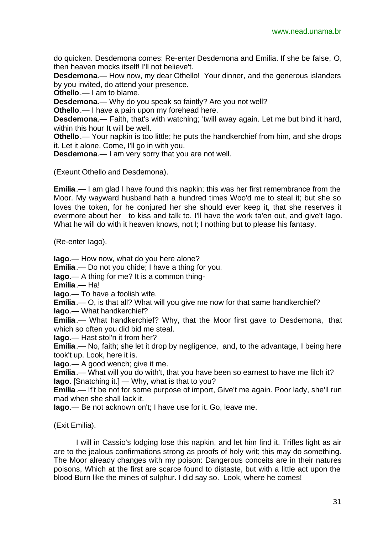do quicken. Desdemona comes: Re-enter Desdemona and Emilia. If she be false, O, then heaven mocks itself! I'll not believe't.

**Desdemona**.— How now, my dear Othello! Your dinner, and the generous islanders by you invited, do attend your presence.

**Othello**.— I am to blame.

**Desdemona**.— Why do you speak so faintly? Are you not well?

**Othello**.— I have a pain upon my forehead here.

**Desdemona**.— Faith, that's with watching; 'twill away again. Let me but bind it hard, within this hour It will be well.

**Othello**.— Your napkin is too little; he puts the handkerchief from him, and she drops it. Let it alone. Come, I'll go in with you.

**Desdemona**.— I am very sorry that you are not well.

(Exeunt Othello and Desdemona).

**Emília**.— I am glad I have found this napkin; this was her first remembrance from the Moor. My wayward husband hath a hundred times Woo'd me to steal it; but she so loves the token, for he conjured her she should ever keep it, that she reserves it evermore about her to kiss and talk to. I'll have the work ta'en out, and give't Iago. What he will do with it heaven knows, not I; I nothing but to please his fantasy.

(Re-enter Iago).

**Iago**.— How now, what do you here alone?

**Emília**.— Do not you chide; I have a thing for you.

**Iago**.— A thing for me? It is a common thing-

**Emília**.— Ha!

**Iago**.— To have a foolish wife.

**Emília**.— O, is that all? What will you give me now for that same handkerchief?

**Iago**.— What handkerchief?

**Emília**.— What handkerchief? Why, that the Moor first gave to Desdemona, that which so often you did bid me steal.

**Iago**.— Hast stol'n it from her?

**Emília**.— No, faith; she let it drop by negligence, and, to the advantage, I being here took't up. Look, here it is.

**Iago**.— A good wench; give it me.

**Emília**.— What will you do with't, that you have been so earnest to have me filch it? **Iago**. [Snatching it.] — Why, what is that to you?

**Emília**.— If't be not for some purpose of import, Give't me again. Poor lady, she'll run mad when she shall lack it.

**Iago**.— Be not acknown on't; I have use for it. Go, leave me.

(Exit Emilia).

I will in Cassio's lodging lose this napkin, and let him find it. Trifles light as air are to the jealous confirmations strong as proofs of holy writ; this may do something. The Moor already changes with my poison: Dangerous conceits are in their natures poisons, Which at the first are scarce found to distaste, but with a little act upon the blood Burn like the mines of sulphur. I did say so. Look, where he comes!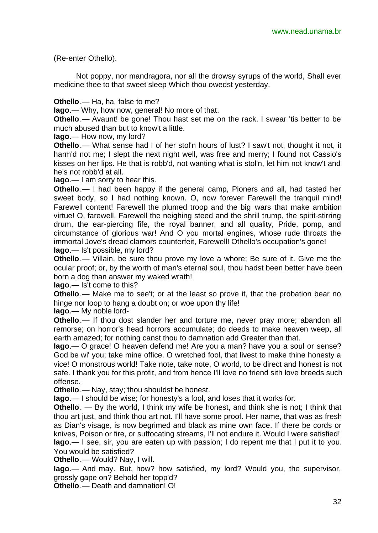(Re-enter Othello).

Not poppy, nor mandragora, nor all the drowsy syrups of the world, Shall ever medicine thee to that sweet sleep Which thou owedst yesterday.

**Othello**.— Ha, ha, false to me?

**Iago**.— Why, how now, general! No more of that.

**Othello**.— Avaunt! be gone! Thou hast set me on the rack. I swear 'tis better to be much abused than but to know't a little.

**Iago**.— How now, my lord?

**Othello**.— What sense had I of her stol'n hours of lust? I saw't not, thought it not, it harm'd not me; I slept the next night well, was free and merry; I found not Cassio's kisses on her lips. He that is robb'd, not wanting what is stol'n, let him not know't and he's not robb'd at all.

**Iago**.— I am sorry to hear this.

**Othello**.— I had been happy if the general camp, Pioners and all, had tasted her sweet body, so I had nothing known. O, now forever Farewell the tranquil mind! Farewell content! Farewell the plumed troop and the big wars that make ambition virtue! O, farewell, Farewell the neighing steed and the shrill trump, the spirit-stirring drum, the ear-piercing fife, the royal banner, and all quality, Pride, pomp, and circumstance of glorious war! And O you mortal engines, whose rude throats the immortal Jove's dread clamors counterfeit, Farewell! Othello's occupation's gone! **Iago**.— Is't possible, my lord?

**Othello**.— Villain, be sure thou prove my love a whore; Be sure of it. Give me the ocular proof; or, by the worth of man's eternal soul, thou hadst been better have been born a dog than answer my waked wrath!

**Iago**.— Is't come to this?

**Othello**.— Make me to see't; or at the least so prove it, that the probation bear no hinge nor loop to hang a doubt on; or woe upon thy life!

**Iago**.— My noble lord-

**Othello**.— If thou dost slander her and torture me, never pray more; abandon all remorse; on horror's head horrors accumulate; do deeds to make heaven weep, all earth amazed; for nothing canst thou to damnation add Greater than that.

**Iago**.— O grace! O heaven defend me! Are you a man? have you a soul or sense? God be wi' you; take mine office. O wretched fool, that livest to make thine honesty a vice! O monstrous world! Take note, take note, O world, to be direct and honest is not safe. I thank you for this profit, and from hence I'll love no friend sith love breeds such offense.

**Othello**.— Nay, stay; thou shouldst be honest.

**Iago**.— I should be wise; for honesty's a fool, and loses that it works for.

**Othello**. — By the world, I think my wife be honest, and think she is not; I think that thou art just, and think thou art not. I'll have some proof. Her name, that was as fresh as Dian's visage, is now begrimed and black as mine own face. If there be cords or knives, Poison or fire, or suffocating streams, I'll not endure it. Would I were satisfied! **Iago**.— I see, sir, you are eaten up with passion; I do repent me that I put it to you. You would be satisfied?

**Othello**.— Would? Nay, I will.

**Iago**.— And may. But, how? how satisfied, my lord? Would you, the supervisor, grossly gape on? Behold her topp'd?

**Othello**.— Death and damnation! O!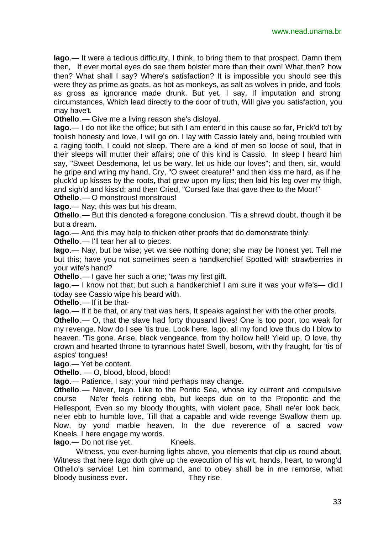**Iago**.— It were a tedious difficulty, I think, to bring them to that prospect. Damn them then, If ever mortal eyes do see them bolster more than their own! What then? how then? What shall I say? Where's satisfaction? It is impossible you should see this were they as prime as goats, as hot as monkeys, as salt as wolves in pride, and fools as gross as ignorance made drunk. But yet, I say, If imputation and strong circumstances, Which lead directly to the door of truth, Will give you satisfaction, you may have't.

**Othello**.— Give me a living reason she's disloyal.

**Iago**.— I do not like the office; but sith I am enter'd in this cause so far, Prick'd to't by foolish honesty and love, I will go on. I lay with Cassio lately and, being troubled with a raging tooth, I could not sleep. There are a kind of men so loose of soul, that in their sleeps will mutter their affairs; one of this kind is Cassio. In sleep I heard him say, "Sweet Desdemona, let us be wary, let us hide our loves"; and then, sir, would he gripe and wring my hand, Cry, "O sweet creature!" and then kiss me hard, as if he pluck'd up kisses by the roots, that grew upon my lips; then laid his leg over my thigh, and sigh'd and kiss'd; and then Cried, "Cursed fate that gave thee to the Moor!"

**Othello**.— O monstrous! monstrous!

**Iago**.— Nay, this was but his dream.

**Othello**.— But this denoted a foregone conclusion. 'Tis a shrewd doubt, though it be but a dream.

**Iago**.— And this may help to thicken other proofs that do demonstrate thinly.

**Othello**.— I'll tear her all to pieces.

**Iago**.— Nay, but be wise; yet we see nothing done; she may be honest yet. Tell me but this; have you not sometimes seen a handkerchief Spotted with strawberries in your wife's hand?

**Othello**.— I gave her such a one; 'twas my first gift.

**Iago**.— I know not that; but such a handkerchief I am sure it was your wife's— did I today see Cassio wipe his beard with.

**Othello**.— If it be that-

**Iago**.— If it be that, or any that was hers, It speaks against her with the other proofs.

**Othello**.— O, that the slave had forty thousand lives! One is too poor, too weak for my revenge. Now do I see 'tis true. Look here, Iago, all my fond love thus do I blow to heaven. 'Tis gone. Arise, black vengeance, from thy hollow hell! Yield up, O love, thy crown and hearted throne to tyrannous hate! Swell, bosom, with thy fraught, for 'tis of aspics' tongues!

**Iago**.— Yet be content.

**Othello**. — O, blood, blood, blood!

**Iago**.— Patience, I say; your mind perhaps may change.

**Othello**.— Never, Iago. Like to the Pontic Sea, whose icy current and compulsive course Ne'er feels retiring ebb, but keeps due on to the Propontic and the Hellespont, Even so my bloody thoughts, with violent pace, Shall ne'er look back, ne'er ebb to humble love, Till that a capable and wide revenge Swallow them up. Now, by yond marble heaven, In the due reverence of a sacred vow Kneels. I here engage my words.

**Iago.**— Do not rise yet. Kneels.

Witness, you ever-burning lights above, you elements that clip us round about, Witness that here Iago doth give up the execution of his wit, hands, heart, to wrong'd Othello's service! Let him command, and to obey shall be in me remorse, what bloody business ever. They rise.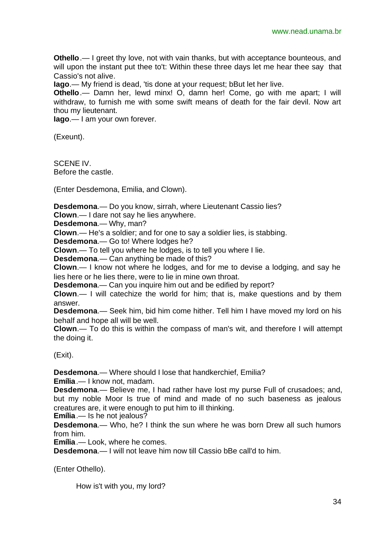**Othello**.— I greet thy love, not with vain thanks, but with acceptance bounteous, and will upon the instant put thee to't: Within these three days let me hear thee say that Cassio's not alive.

**Iago**.— My friend is dead, 'tis done at your request; bBut let her live.

**Othello**.— Damn her, lewd minx! O, damn her! Come, go with me apart; I will withdraw, to furnish me with some swift means of death for the fair devil. Now art thou my lieutenant.

**Iago**.— I am your own forever.

(Exeunt).

SCENE IV. Before the castle.

(Enter Desdemona, Emilia, and Clown).

**Desdemona**.— Do you know, sirrah, where Lieutenant Cassio lies?

**Clown**.— I dare not say he lies anywhere.

**Desdemona**.— Why, man?

**Clown**.— He's a soldier; and for one to say a soldier lies, is stabbing.

**Desdemona**.— Go to! Where lodges he?

**Clown**.— To tell you where he lodges, is to tell you where I lie.

**Desdemona**.— Can anything be made of this?

**Clown**.— I know not where he lodges, and for me to devise a lodging, and say he lies here or he lies there, were to lie in mine own throat.

**Desdemona**.— Can you inquire him out and be edified by report?

**Clown**.— I will catechize the world for him; that is, make questions and by them answer.

**Desdemona**.— Seek him, bid him come hither. Tell him I have moved my lord on his behalf and hope all will be well.

**Clown**.— To do this is within the compass of man's wit, and therefore I will attempt the doing it.

(Exit).

**Desdemona**.— Where should I lose that handkerchief, Emilia?

**Emília**.— I know not, madam.

**Desdemona**.— Believe me, I had rather have lost my purse Full of crusadoes; and, but my noble Moor Is true of mind and made of no such baseness as jealous creatures are, it were enough to put him to ill thinking.

**Emília**.— Is he not jealous?

**Desdemona**.— Who, he? I think the sun where he was born Drew all such humors from him.

**Emília**.— Look, where he comes.

**Desdemona**.— I will not leave him now till Cassio bBe call'd to him.

(Enter Othello).

How is't with you, my lord?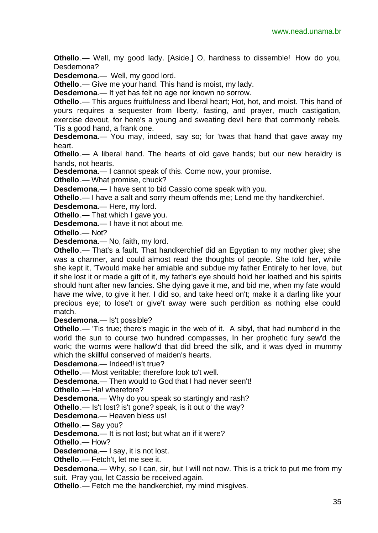**Othello**.— Well, my good lady. [Aside.] O, hardness to dissemble! How do you, Desdemona?

**Desdemona**.— Well, my good lord.

**Othello**.— Give me your hand. This hand is moist, my lady.

**Desdemona**.— It yet has felt no age nor known no sorrow.

**Othello**.— This argues fruitfulness and liberal heart; Hot, hot, and moist. This hand of yours requires a sequester from liberty, fasting, and prayer, much castigation, exercise devout, for here's a young and sweating devil here that commonly rebels. 'Tis a good hand, a frank one.

**Desdemona**.— You may, indeed, say so; for 'twas that hand that gave away my heart.

**Othello** .— A liberal hand. The hearts of old gave hands; but our new heraldry is hands, not hearts.

**Desdemona**.— I cannot speak of this. Come now, your promise.

**Othello**.— What promise, chuck?

**Desdemona**.— I have sent to bid Cassio come speak with you.

**Othello**.— I have a salt and sorry rheum offends me; Lend me thy handkerchief.

**Desdemona**.— Here, my lord.

**Othello**.— That which I gave you.

**Desdemona**.— I have it not about me.

**Othello**.— Not?

**Desdemona**.— No, faith, my lord.

**Othello**.— That's a fault. That handkerchief did an Egyptian to my mother give; she was a charmer, and could almost read the thoughts of people. She told her, while she kept it, 'Twould make her amiable and subdue my father Entirely to her love, but if she lost it or made a gift of it, my father's eye should hold her loathed and his spirits should hunt after new fancies. She dying gave it me, and bid me, when my fate would have me wive, to give it her. I did so, and take heed on't; make it a darling like your precious eye; to lose't or give't away were such perdition as nothing else could match.

**Desdemona**.— Is't possible?

**Othello**.— 'Tis true; there's magic in the web of it. A sibyl, that had number'd in the world the sun to course two hundred compasses, In her prophetic fury sew'd the work; the worms were hallow'd that did breed the silk, and it was dyed in mummy which the skillful conserved of maiden's hearts.

**Desdemona.**— Indeed! is't true?

**Othello**.— Most veritable; therefore look to't well.

**Desdemona**.— Then would to God that I had never seen't!

**Othello**.— Ha! wherefore?

**Desdemona**.— Why do you speak so startingly and rash?

**Othello** .— Is't lost? is't gone? speak, is it out o' the way?

**Desdemona**.— Heaven bless us!

**Othello**.— Say you?

**Desdemona**.— It is not lost; but what an if it were?

**Othello**.— How?

**Desdemona**.— I say, it is not lost.

**Othello**.— Fetch't, let me see it.

**Desdemona**.— Why, so I can, sir, but I will not now. This is a trick to put me from my suit. Pray you, let Cassio be received again.

**Othello**.— Fetch me the handkerchief, my mind misgives.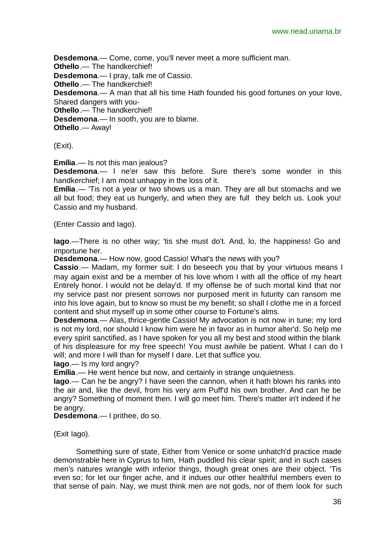**Desdemona**.— Come, come, you'll never meet a more sufficient man. **Othello**.— The handkerchief! **Desdemona**.— I pray, talk me of Cassio. **Othello**.— The handkerchief! **Desdemona**.— A man that all his time Hath founded his good fortunes on your love, Shared dangers with you-**Othello**.— The handkerchief! **Desdemona**.— In sooth, you are to blame. **Othello**.— Away!

(Exit).

**Emília**.— Is not this man jealous?

**Desdemona**.— I ne'er saw this before. Sure there's some wonder in this handkerchief; I am most unhappy in the loss of it.

**Emília**.— 'Tis not a year or two shows us a man. They are all but stomachs and we all but food; they eat us hungerly, and when they are full they belch us. Look you! Cassio and my husband.

(Enter Cassio and Iago).

**Iago**.—There is no other way; 'tis she must do't. And, lo, the happiness! Go and importune her.

**Desdemona**.— How now, good Cassio! What's the news with you?

**Cassio**.— Madam, my former suit: I do beseech you that by your virtuous means I may again exist and be a member of his love whom I with all the office of my heart Entirely honor. I would not be delay'd. If my offense be of such mortal kind that nor my service past nor present sorrows nor purposed merit in futurity can ransom me into his love again, but to know so must be my benefit; so shall I clothe me in a forced content and shut myself up in some other course to Fortune's alms.

**Desdemona**.— Alas, thrice-gentle Cassio! My advocation is not now in tune; my lord is not my lord, nor should I know him were he in favor as in humor alter'd. So help me every spirit sanctified, as I have spoken for you all my best and stood within the blank of his displeasure for my free speech! You must awhile be patient. What I can do I will; and more I will than for myself I dare. Let that suffice you.

**Iago**.— Is my lord angry?

**Emília**.— He went hence but now, and certainly in strange unquietness.

**Iago**.— Can he be angry? I have seen the cannon, when it hath blown his ranks into the air and, like the devil, from his very arm Puff'd his own brother. And can he be angry? Something of moment then. I will go meet him. There's matter in't indeed if he be angry.

**Desdemona**.— I prithee, do so.

(Exit Iago).

Something sure of state, Either from Venice or some unhatch'd practice made demonstrable here in Cyprus to him, Hath puddled his clear spirit; and in such cases men's natures wrangle with inferior things, though great ones are their object. 'Tis even so; for let our finger ache, and it indues our other healthful members even to that sense of pain. Nay, we must think men are not gods, nor of them look for such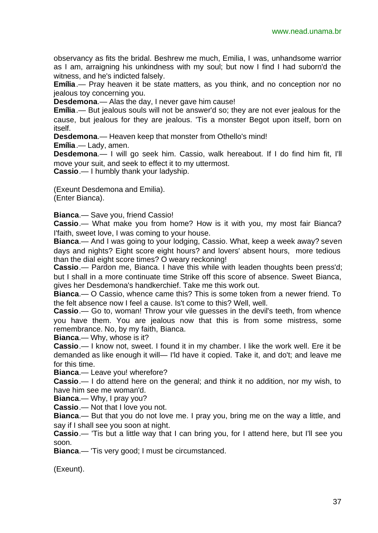observancy as fits the bridal. Beshrew me much, Emilia, I was, unhandsome warrior as I am, arraigning his unkindness with my soul; but now I find I had suborn'd the witness, and he's indicted falsely.

**Emília**.— Pray heaven it be state matters, as you think, and no conception nor no jealous toy concerning you.

**Desdemona**.— Alas the day, I never gave him cause!

**Emília**.— But jealous souls will not be answer'd so; they are not ever jealous for the cause, but jealous for they are jealous. 'Tis a monster Begot upon itself, born on itself.

**Desdemona**.— Heaven keep that monster from Othello's mind!

**Emília**.— Lady, amen.

**Desdemona**.— I will go seek him. Cassio, walk hereabout. If I do find him fit, I'll move your suit, and seek to effect it to my uttermost.

**Cassio**.— I humbly thank your ladyship.

(Exeunt Desdemona and Emilia). (Enter Bianca).

**Bianca**.— Save you, friend Cassio!

**Cassio**.— What make you from home? How is it with you, my most fair Bianca? I'faith, sweet love, I was coming to your house.

**Bianca**.— And I was going to your lodging, Cassio. What, keep a week away? seven days and nights? Eight score eight hours? and lovers' absent hours, more tedious than the dial eight score times? O weary reckoning!

**Cassio**.— Pardon me, Bianca. I have this while with leaden thoughts been press'd; but I shall in a more continuate time Strike off this score of absence. Sweet Bianca, gives her Desdemona's handkerchief. Take me this work out.

**Bianca**.— O Cassio, whence came this? This is some token from a newer friend. To the felt absence now I feel a cause. Is't come to this? Well, well.

**Cassio**.— Go to, woman! Throw your vile guesses in the devil's teeth, from whence you have them. You are jealous now that this is from some mistress, some remembrance. No, by my faith, Bianca.

**Bianca**.— Why, whose is it?

**Cassio**.— I know not, sweet. I found it in my chamber. I like the work well. Ere it be demanded as like enough it will— I'ld have it copied. Take it, and do't; and leave me for this time.

**Bianca**.— Leave you! wherefore?

**Cassio**.— I do attend here on the general; and think it no addition, nor my wish, to have him see me woman'd.

**Bianca**.— Why, I pray you?

**Cassio**.— Not that I love you not.

**Bianca**.— But that you do not love me. I pray you, bring me on the way a little, and say if I shall see you soon at night.

**Cassio**.— 'Tis but a little way that I can bring you, for I attend here, but I'll see you soon.

**Bianca**.— 'Tis very good; I must be circumstanced.

(Exeunt).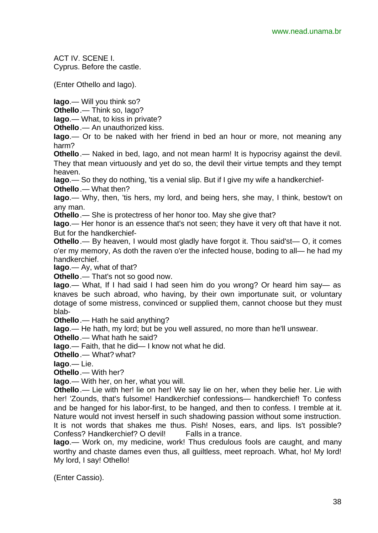ACT IV. SCENE I. Cyprus. Before the castle.

(Enter Othello and Iago).

**Iago**.— Will you think so?

**Othello**.— Think so, Iago?

**Iago**.— What, to kiss in private?

**Othello**.— An unauthorized kiss.

**Iago**.— Or to be naked with her friend in bed an hour or more, not meaning any harm?

**Othello**.— Naked in bed, Iago, and not mean harm! It is hypocrisy against the devil. They that mean virtuously and yet do so, the devil their virtue tempts and they tempt heaven.

**Iago**.— So they do nothing, 'tis a venial slip. But if I give my wife a handkerchief-**Othello**.— What then?

**Iago.**— Why, then, 'tis hers, my lord, and being hers, she may, I think, bestow't on any man.

**Othello**.— She is protectress of her honor too. May she give that?

**Iago**.— Her honor is an essence that's not seen; they have it very oft that have it not. But for the handkerchief-

**Othello**.— By heaven, I would most gladly have forgot it. Thou said'st— O, it comes o'er my memory, As doth the raven o'er the infected house, boding to all— he had my handkerchief.

**Iago**.— Ay, what of that?

**Othello**.— That's not so good now.

**Iago**.— What, If I had said I had seen him do you wrong? Or heard him say— as knaves be such abroad, who having, by their own importunate suit, or voluntary dotage of some mistress, convinced or supplied them, cannot choose but they must blab-

**Othello**.— Hath he said anything?

**Iago**.— He hath, my lord; but be you well assured, no more than he'll unswear.

**Othello**.— What hath he said?

**Iago**.— Faith, that he did— I know not what he did.

**Othello**.— What? what?

**Iago**.— Lie.

**Othello**.— With her?

**Iago**.— With her, on her, what you will.

**Othello**.— Lie with her! lie on her! We say lie on her, when they belie her. Lie with her! 'Zounds, that's fulsome! Handkerchief confessions— handkerchief! To confess and be hanged for his labor-first, to be hanged, and then to confess. I tremble at it. Nature would not invest herself in such shadowing passion without some instruction. It is not words that shakes me thus. Pish! Noses, ears, and lips. Is't possible? Confess? Handkerchief? O devil! Falls in a trance.

**Iago**.— Work on, my medicine, work! Thus credulous fools are caught, and many worthy and chaste dames even thus, all guiltless, meet reproach. What, ho! My lord! My lord, I say! Othello!

(Enter Cassio).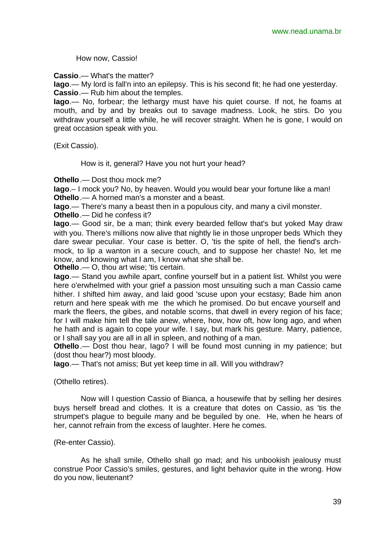How now, Cassio!

**Cassio**.— What's the matter?

**Iago**.— My lord is fall'n into an epilepsy. This is his second fit; he had one yesterday. **Cassio**.— Rub him about the temples.

**Iago**.— No, forbear; the lethargy must have his quiet course. If not, he foams at mouth, and by and by breaks out to savage madness. Look, he stirs. Do you withdraw yourself a little while, he will recover straight. When he is gone, I would on great occasion speak with you.

(Exit Cassio).

How is it, general? Have you not hurt your head?

**Othello**.— Dost thou mock me?

**Iago**.– I mock you? No, by heaven. Would you would bear your fortune like a man! **Othello**.— A horned man's a monster and a beast.

**Iago**.— There's many a beast then in a populous city, and many a civil monster.

**Othello**.— Did he confess it?

**Iago**.— Good sir, be a man; think every bearded fellow that's but yoked May draw with you. There's millions now alive that nightly lie in those unproper beds Which they dare swear peculiar. Your case is better. O, 'tis the spite of hell, the fiend's archmock, to lip a wanton in a secure couch, and to suppose her chaste! No, let me know, and knowing what I am, I know what she shall be.

**Othello**.— O, thou art wise; 'tis certain.

**Iago**.— Stand you awhile apart, confine yourself but in a patient list. Whilst you were here o'erwhelmed with your grief a passion most unsuiting such a man Cassio came hither. I shifted him away, and laid good 'scuse upon your ecstasy; Bade him anon return and here speak with me the which he promised. Do but encave yourself and mark the fleers, the gibes, and notable scorns, that dwell in every region of his face; for I will make him tell the tale anew, where, how, how oft, how long ago, and when he hath and is again to cope your wife. I say, but mark his gesture. Marry, patience, or I shall say you are all in all in spleen, and nothing of a man.

**Othello** .— Dost thou hear, lago? I will be found most cunning in my patience; but (dost thou hear?) most bloody.

**Iago**.— That's not amiss; But yet keep time in all. Will you withdraw?

(Othello retires).

Now will I question Cassio of Bianca, a housewife that by selling her desires buys herself bread and clothes. It is a creature that dotes on Cassio, as 'tis the strumpet's plague to beguile many and be beguiled by one. He, when he hears of her, cannot refrain from the excess of laughter. Here he comes.

#### (Re-enter Cassio).

As he shall smile, Othello shall go mad; and his unbookish jealousy must construe Poor Cassio's smiles, gestures, and light behavior quite in the wrong. How do you now, lieutenant?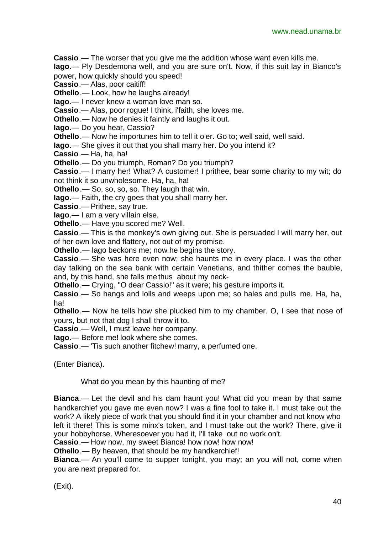**Cassio**.— The worser that you give me the addition whose want even kills me.

**Iago**.— Ply Desdemona well, and you are sure on't. Now, if this suit lay in Bianco's power, how quickly should you speed!

**Cassio**.— Alas, poor caitiff!

**Othello**.— Look, how he laughs already!

**Iago**.— I never knew a woman love man so.

**Cassio**.— Alas, poor rogue! I think, i'faith, she loves me.

**Othello**.— Now he denies it faintly and laughs it out.

**Iago**.— Do you hear, Cassio?

**Othello**.— Now he importunes him to tell it o'er. Go to; well said, well said.

**Iago**.— She gives it out that you shall marry her. Do you intend it?

**Cassio**.— Ha, ha, ha!

**Othello**.— Do you triumph, Roman? Do you triumph?

**Cassio**.— I marry her! What? A customer! I prithee, bear some charity to my wit; do not think it so unwholesome. Ha, ha, ha!

**Othello**.— So, so, so, so. They laugh that win.

**Iago**.— Faith, the cry goes that you shall marry her.

**Cassio**.— Prithee, say true.

**Iago**.— I am a very villain else.

**Othello**.— Have you scored me? Well.

**Cassio**.— This is the monkey's own giving out. She is persuaded I will marry her, out of her own love and flattery, not out of my promise.

**Othello**.— Iago beckons me; now he begins the story.

**Cassio**.— She was here even now; she haunts me in every place. I was the other day talking on the sea bank with certain Venetians, and thither comes the bauble, and, by this hand, she falls me thus about my neck-

**Othello**.— Crying, "O dear Cassio!" as it were; his gesture imports it.

**Cassio**.— So hangs and lolls and weeps upon me; so hales and pulls me. Ha, ha, ha!

**Othello**.— Now he tells how she plucked him to my chamber. O, I see that nose of yours, but not that dog I shall throw it to.

**Cassio**.— Well, I must leave her company.

**Iago**.— Before me! look where she comes.

**Cassio**.— 'Tis such another fitchew! marry, a perfumed one.

(Enter Bianca).

What do you mean by this haunting of me?

**Bianca**.— Let the devil and his dam haunt you! What did you mean by that same handkerchief you gave me even now? I was a fine fool to take it. I must take out the work? A likely piece of work that you should find it in your chamber and not know who left it there! This is some minx's token, and I must take out the work? There, give it your hobbyhorse. Wheresoever you had it, I'll take out no work on't.

**Cassio**.— How now, my sweet Bianca! how now! how now!

**Othello**.— By heaven, that should be my handkerchief!

**Bianca**.— An you'll come to supper tonight, you may; an you will not, come when you are next prepared for.

(Exit).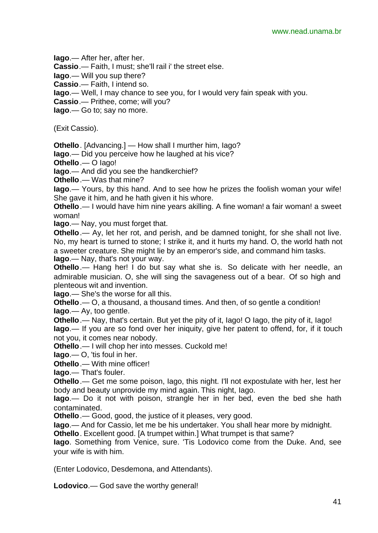**Iago**.— After her, after her.

**Cassio**.— Faith, I must; she'll rail i' the street else.

**Iago**.— Will you sup there?

**Cassio**.— Faith, I intend so.

**Iago**.— Well, I may chance to see you, for I would very fain speak with you.

**Cassio**.— Prithee, come; will you?

**Iago**.— Go to; say no more.

(Exit Cassio).

**Othello**. [Advancing.] — How shall I murther him, Iago?

**Iago**.— Did you perceive how he laughed at his vice?

**Othello**.— O Iago!

**Iago**.— And did you see the handkerchief?

**Othello**.— Was that mine?

**Iago**.— Yours, by this hand. And to see how he prizes the foolish woman your wife! She gave it him, and he hath given it his whore.

**Othello**.— I would have him nine years akilling. A fine woman! a fair woman! a sweet woman!

**Iago**.— Nay, you must forget that.

**Othello**.— Ay, let her rot, and perish, and be damned tonight, for she shall not live. No, my heart is turned to stone; I strike it, and it hurts my hand. O, the world hath not a sweeter creature. She might lie by an emperor's side, and command him tasks. **Iago**.— Nay, that's not your way.

**Othello**.— Hang her! I do but say what she is. So delicate with her needle, an admirable musician. O, she will sing the savageness out of a bear. Of so high and plenteous wit and invention.

**Iago**.— She's the worse for all this.

**Othello**.— O, a thousand, a thousand times. And then, of so gentle a condition! **Iago**.— Ay, too gentle.

**Othello**.— Nay, that's certain. But yet the pity of it, Iago! O Iago, the pity of it, Iago! **Iago**.— If you are so fond over her iniquity, give her patent to offend, for, if it touch not you, it comes near nobody.

**Othello**.— I will chop her into messes. Cuckold me!

**Iago**.— O, 'tis foul in her.

**Othello**.— With mine officer!

**Iago**.— That's fouler.

**Othello**.— Get me some poison, Iago, this night. I'll not expostulate with her, lest her body and beauty unprovide my mind again. This night, Iago.

**Iago**.— Do it not with poison, strangle her in her bed, even the bed she hath contaminated.

**Othello**.— Good, good, the justice of it pleases, very good.

**Iago**.— And for Cassio, let me be his undertaker. You shall hear more by midnight.

**Othello**. Excellent good. [A trumpet within.] What trumpet is that same?

**Iago**. Something from Venice, sure. 'Tis Lodovico come from the Duke. And, see your wife is with him.

(Enter Lodovico, Desdemona, and Attendants).

**Lodovico**.— God save the worthy general!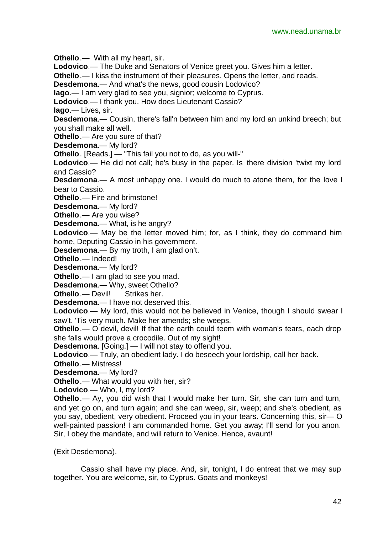**Othello** .— With all my heart, sir.

**Lodovico**.— The Duke and Senators of Venice greet you. Gives him a letter.

**Othello**.— I kiss the instrument of their pleasures. Opens the letter, and reads.

**Desdemona**.— And what's the news, good cousin Lodovico?

**Iago**.— I am very glad to see you, signior; welcome to Cyprus.

**Lodovico**.— I thank you. How does Lieutenant Cassio?

**Iago**.— Lives, sir.

**Desdemona**.— Cousin, there's fall'n between him and my lord an unkind breech; but you shall make all well.

**Othello**.— Are you sure of that?

**Desdemona**.— My lord?

**Othello**. [Reads.] — "This fail you not to do, as you will-"

**Lodovico**.— He did not call; he's busy in the paper. Is there division 'twixt my lord and Cassio?

**Desdemona**.— A most unhappy one. I would do much to atone them, for the love I bear to Cassio.

**Othello**.— Fire and brimstone!

**Desdemona**.— My lord?

**Othello**.— Are you wise?

**Desdemona**.— What, is he angry?

**Lodovico**.— May be the letter moved him; for, as I think, they do command him home, Deputing Cassio in his government.

**Desdemona**.— By my troth, I am glad on't.

**Othello**.— Indeed!

**Desdemona**.— My lord?

**Othello**.— I am glad to see you mad.

**Desdemona**.— Why, sweet Othello?

**Othello**.— Devil! Strikes her.

**Desdemona**.— I have not deserved this.

**Lodovico**.— My lord, this would not be believed in Venice, though I should swear I saw't. 'Tis very much. Make her amends; she weeps.

**Othello** .— O devil, devil! If that the earth could teem with woman's tears, each drop she falls would prove a crocodile. Out of my sight!

**Desdemona**. [Going.] — I will not stay to offend you.

**Lodovico**.— Truly, an obedient lady. I do beseech your lordship, call her back.

**Othello**.— Mistress!

**Desdemona**.— My lord?

**Othello**.— What would you with her, sir?

**Lodovico**.— Who, I, my lord?

**Othello**.— Ay, you did wish that I would make her turn. Sir, she can turn and turn, and yet go on, and turn again; and she can weep, sir, weep; and she's obedient, as you say, obedient, very obedient. Proceed you in your tears. Concerning this, sir— O well-painted passion! I am commanded home. Get you away; I'll send for you anon. Sir, I obey the mandate, and will return to Venice. Hence, avaunt!

(Exit Desdemona).

Cassio shall have my place. And, sir, tonight, I do entreat that we may sup together. You are welcome, sir, to Cyprus. Goats and monkeys!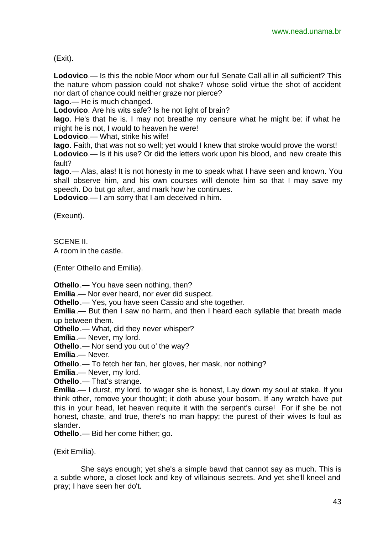(Exit).

**Lodovico**.— Is this the noble Moor whom our full Senate Call all in all sufficient? This the nature whom passion could not shake? whose solid virtue the shot of accident nor dart of chance could neither graze nor pierce?

**Iago**.— He is much changed.

**Lodovico**. Are his wits safe? Is he not light of brain?

**Iago**. He's that he is. I may not breathe my censure what he might be: if what he might he is not, I would to heaven he were!

**Lodovico**.— What, strike his wife!

**Iago**. Faith, that was not so well; yet would I knew that stroke would prove the worst! **Lodovico**.— Is it his use? Or did the letters work upon his blood, and new create this fault?

**Iago**.— Alas, alas! It is not honesty in me to speak what I have seen and known. You shall observe him, and his own courses will denote him so that I may save my speech. Do but go after, and mark how he continues.

**Lodovico**.— I am sorry that I am deceived in him.

(Exeunt).

SCENE II.

A room in the castle.

(Enter Othello and Emilia).

**Othello**.— You have seen nothing, then?

**Emília**.— Nor ever heard, nor ever did suspect.

**Othello**.— Yes, you have seen Cassio and she together.

**Emília**.— But then I saw no harm, and then I heard each syllable that breath made up between them.

**Othello**.— What, did they never whisper?

**Emília**.— Never, my lord.

**Othello**.— Nor send you out o' the way?

**Emília**.— Never.

**Othello**.— To fetch her fan, her gloves, her mask, nor nothing?

**Emília**.— Never, my lord.

**Othello**.— That's strange.

**Emília**.— I durst, my lord, to wager she is honest, Lay down my soul at stake. If you think other, remove your thought; it doth abuse your bosom. If any wretch have put this in your head, let heaven requite it with the serpent's curse! For if she be not honest, chaste, and true, there's no man happy; the purest of their wives Is foul as slander.

**Othello**.— Bid her come hither; go.

(Exit Emilia).

She says enough; yet she's a simple bawd that cannot say as much. This is a subtle whore, a closet lock and key of villainous secrets. And yet she'll kneel and pray; I have seen her do't.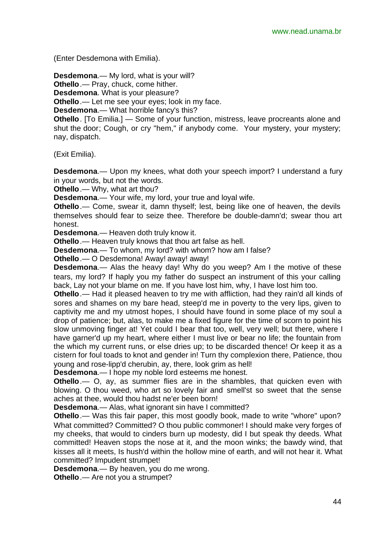(Enter Desdemona with Emilia).

**Desdemona**.— My lord, what is your will? **Othello**.— Pray, chuck, come hither.

**Desdemona**. What is your pleasure?

**Othello**.— Let me see your eyes; look in my face.

**Desdemona**.— What horrible fancy's this?

**Othello**. [To Emilia.] — Some of your function, mistress, leave procreants alone and shut the door; Cough, or cry "hem," if anybody come. Your mystery, your mystery; nay, dispatch.

(Exit Emilia).

**Desdemona.**— Upon my knees, what doth your speech import? I understand a fury in your words, but not the words.

**Othello**.— Why, what art thou?

**Desdemona**.— Your wife, my lord, your true and loyal wife.

**Othello**.— Come, swear it, damn thyself; lest, being like one of heaven, the devils themselves should fear to seize thee. Therefore be double-damn'd; swear thou art honest.

**Desdemona**.— Heaven doth truly know it.

**Othello**.— Heaven truly knows that thou art false as hell.

**Desdemona**.— To whom, my lord? with whom? how am I false?

**Othello**.— O Desdemona! Away! away! away!

**Desdemona**.— Alas the heavy day! Why do you weep? Am I the motive of these tears, my lord? If haply you my father do suspect an instrument of this your calling back, Lay not your blame on me. If you have lost him, why, I have lost him too.

**Othello**.— Had it pleased heaven to try me with affliction, had they rain'd all kinds of sores and shames on my bare head, steep'd me in poverty to the very lips, given to captivity me and my utmost hopes, I should have found in some place of my soul a drop of patience; but, alas, to make me a fixed figure for the time of scorn to point his slow unmoving finger at! Yet could I bear that too, well, very well; but there, where I have garner'd up my heart, where either I must live or bear no life; the fountain from the which my current runs, or else dries up; to be discarded thence! Or keep it as a cistern for foul toads to knot and gender in! Turn thy complexion there, Patience, thou young and rose-lipp'd cherubin, ay, there, look grim as hell!

**Desdemona**.— I hope my noble lord esteems me honest.

**Othello**.— O, ay, as summer flies are in the shambles, that quicken even with blowing. O thou weed, who art so lovely fair and smell'st so sweet that the sense aches at thee, would thou hadst ne'er been born!

**Desdemona**.— Alas, what ignorant sin have I committed?

**Othello**.— Was this fair paper, this most goodly book, made to write "whore" upon? What committed? Committed? O thou public commoner! I should make very forges of my cheeks, that would to cinders burn up modesty, did I but speak thy deeds. What committed! Heaven stops the nose at it, and the moon winks; the bawdy wind, that kisses all it meets, Is hush'd within the hollow mine of earth, and will not hear it. What committed? Impudent strumpet!

**Desdemona**.— By heaven, you do me wrong.

**Othello**.— Are not you a strumpet?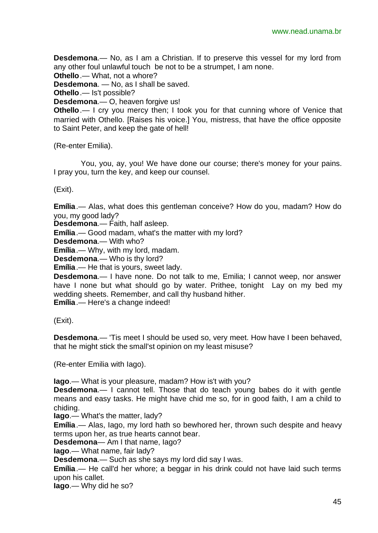**Desdemona**.— No, as I am a Christian. If to preserve this vessel for my lord from any other foul unlawful touch be not to be a strumpet, I am none.

**Othello**.— What, not a whore?

**Desdemona**. — No, as I shall be saved.

**Othello**.— Is't possible?

**Desdemona**.— O, heaven forgive us!

**Othello**.— I cry you mercy then; I took you for that cunning whore of Venice that married with Othello. [Raises his voice.] You, mistress, that have the office opposite to Saint Peter, and keep the gate of hell!

(Re-enter Emilia).

You, you, ay, you! We have done our course; there's money for your pains. I pray you, turn the key, and keep our counsel.

(Exit).

**Emília**.— Alas, what does this gentleman conceive? How do you, madam? How do you, my good lady?

**Desdemona**.— Faith, half asleep.

**Emília**.— Good madam, what's the matter with my lord?

**Desdemona**.— With who?

**Emília**.— Why, with my lord, madam.

**Desdemona**.— Who is thy lord?

**Emília**.— He that is yours, sweet lady.

**Desdemona**.— I have none. Do not talk to me, Emilia; I cannot weep, nor answer have I none but what should go by water. Prithee, tonight Lay on my bed my wedding sheets. Remember, and call thy husband hither.

**Emília**.— Here's a change indeed!

(Exit).

**Desdemona**.— 'Tis meet I should be used so, very meet. How have I been behaved, that he might stick the small'st opinion on my least misuse?

(Re-enter Emilia with Iago).

**Iago**.— What is your pleasure, madam? How is't with you?

**Desdemona**.— I cannot tell. Those that do teach young babes do it with gentle means and easy tasks. He might have chid me so, for in good faith, I am a child to chiding.

**Iago**.— What's the matter, lady?

**Emília**.— Alas, Iago, my lord hath so bewhored her, thrown such despite and heavy terms upon her, as true hearts cannot bear.

**Desdemona**— Am I that name, Iago?

**Iago**.— What name, fair lady?

**Desdemona**.— Such as she says my lord did say I was.

**Emília**.— He call'd her whore; a beggar in his drink could not have laid such terms upon his callet.

**Iago**.— Why did he so?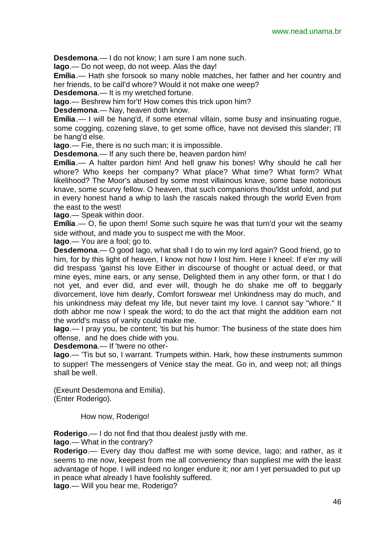**Desdemona**.— I do not know; I am sure I am none such.

**Iago**.— Do not weep, do not weep. Alas the day!

**Emília**.— Hath she forsook so many noble matches, her father and her country and her friends, to be call'd whore? Would it not make one weep?

**Desdemona**.— It is my wretched fortune.

**Iago**.— Beshrew him for't! How comes this trick upon him?

**Desdemona**.— Nay, heaven doth know.

**Emília**.— I will be hang'd, if some eternal villain, some busy and insinuating rogue, some cogging, cozening slave, to get some office, have not devised this slander; I'll be hang'd else.

**Iago**.— Fie, there is no such man; it is impossible.

**Desdemona**.— If any such there be, heaven pardon him!

**Emília**.— A halter pardon him! And hell gnaw his bones! Why should he call her whore? Who keeps her company? What place? What time? What form? What likelihood? The Moor's abused by some most villainous knave, some base notorious knave, some scurvy fellow. O heaven, that such companions thou'ldst unfold, and put in every honest hand a whip to lash the rascals naked through the world Even from the east to the west!

**Iago**.— Speak within door.

**Emília**.— O, fie upon them! Some such squire he was that turn'd your wit the seamy side without, and made you to suspect me with the Moor.

**Iago**.— You are a fool; go to.

**Desdemona**.— O good Iago, what shall I do to win my lord again? Good friend, go to him, for by this light of heaven, I know not how I lost him. Here I kneel: If e'er my will did trespass 'gainst his love Either in discourse of thought or actual deed, or that mine eyes, mine ears, or any sense, Delighted them in any other form, or that I do not yet, and ever did, and ever will, though he do shake me off to beggarly divorcement, love him dearly, Comfort forswear me! Unkindness may do much, and his unkindness may defeat my life, but never taint my love. I cannot say "whore." It doth abhor me now I speak the word; to do the act that might the addition earn not the world's mass of vanity could make me.

**Iago**.— I pray you, be content; 'tis but his humor: The business of the state does him offense, and he does chide with you.

**Desdemona**.— If 'twere no other-

**Iago**.— 'Tis but so, I warrant. Trumpets within. Hark, how these instruments summon to supper! The messengers of Venice stay the meat. Go in, and weep not; all things shall be well.

(Exeunt Desdemona and Emilia). (Enter Roderigo).

How now, Roderigo!

**Roderigo**.— I do not find that thou dealest justly with me.

**Iago**.— What in the contrary?

**Roderigo**.— Every day thou daffest me with some device, Iago; and rather, as it seems to me now, keepest from me all conveniency than suppliest me with the least advantage of hope. I will indeed no longer endure it; nor am I yet persuaded to put up in peace what already I have foolishly suffered.

**Iago**.— Will you hear me, Roderigo?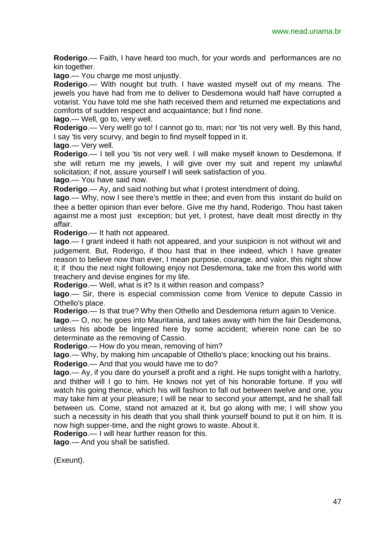**Roderigo**.— Faith, I have heard too much, for your words and performances are no kin together.

**Iago**.— You charge me most unjustly.

**Roderigo**.— With nought but truth. I have wasted myself out of my means. The jewels you have had from me to deliver to Desdemona would half have corrupted a votarist. You have told me she hath received them and returned me expectations and comforts of sudden respect and acquaintance; but I find none.

**Iago**.— Well, go to, very well.

**Roderigo**.— Very well! go to! I cannot go to, man; nor 'tis not very well. By this hand, I say 'tis very scurvy, and begin to find myself fopped in it.

**Iago**.— Very well.

**Roderigo.**— I tell you 'tis not very well. I will make myself known to Desdemona. If she will return me my jewels, I will give over my suit and repent my unlawful solicitation; if not, assure yourself I will seek satisfaction of you.

**Iago**.— You have said now.

**Roderigo**.— Ay, and said nothing but what I protest intendment of doing.

**Iago**.— Why, now I see there's mettle in thee; and even from this instant do build on thee a better opinion than ever before. Give me thy hand, Roderigo. Thou hast taken against me a most just exception; but yet, I protest, have dealt most directly in thy affair.

**Roderigo**.— It hath not appeared.

**Iago**.— I grant indeed it hath not appeared, and your suspicion is not without wit and judgement. But, Roderigo, if thou hast that in thee indeed, which I have greater reason to believe now than ever, I mean purpose, courage, and valor, this night show it; if thou the next night following enjoy not Desdemona, take me from this world with treachery and devise engines for my life.

**Roderigo**.— Well, what is it? Is it within reason and compass?

**Iago**.— Sir, there is especial commission come from Venice to depute Cassio in Othello's place.

**Roderigo**.— Is that true? Why then Othello and Desdemona return again to Venice.

**Iago**.— O, no; he goes into Mauritania, and takes away with him the fair Desdemona, unless his abode be lingered here by some accident; wherein none can be so determinate as the removing of Cassio.

**Roderigo**.— How do you mean, removing of him?

**Iago**.— Why, by making him uncapable of Othello's place; knocking out his brains.

**Roderigo**.— And that you would have me to do?

**Iago**.— Ay, if you dare do yourself a profit and a right. He sups tonight with a harlotry, and thither will I go to him. He knows not yet of his honorable fortune. If you will watch his going thence, which his will fashion to fall out between twelve and one, you may take him at your pleasure; I will be near to second your attempt, and he shall fall between us. Come, stand not amazed at it, but go along with me; I will show you such a necessity in his death that you shall think yourself bound to put it on him. It is now high supper-time, and the night grows to waste. About it.

**Roderigo**.— I will hear further reason for this.

**Iago**.— And you shall be satisfied.

(Exeunt).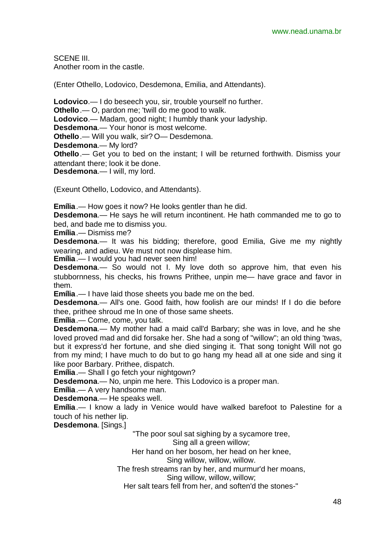SCENE III. Another room in the castle.

(Enter Othello, Lodovico, Desdemona, Emilia, and Attendants).

**Lodovico**.— I do beseech you, sir, trouble yourself no further. **Othello**.— O, pardon me; 'twill do me good to walk. **Lodovico**.— Madam, good night; I humbly thank your ladyship. **Desdemona**.— Your honor is most welcome. **Othello**.— Will you walk, sir? O— Desdemona. **Desdemona**.— My lord? **Othello**.— Get you to bed on the instant; I will be returned forthwith. Dismiss your attendant there; look it be done. **Desdemona**.— I will, my lord.

(Exeunt Othello, Lodovico, and Attendants).

**Emília**.— How goes it now? He looks gentler than he did.

**Desdemona**.— He says he will return incontinent. He hath commanded me to go to bed, and bade me to dismiss you.

**Emília**.— Dismiss me?

**Desdemona**.— It was his bidding; therefore, good Emilia, Give me my nightly wearing, and adieu. We must not now displease him.

**Emília**.— I would you had never seen him!

**Desdemona**.— So would not I. My love doth so approve him, that even his stubbornness, his checks, his frowns Prithee, unpin me— have grace and favor in them.

**Emília**.— I have laid those sheets you bade me on the bed.

**Desdemona**.— All's one. Good faith, how foolish are our minds! If I do die before thee, prithee shroud me In one of those same sheets.

**Emília**.— Come, come, you talk.

**Desdemona**.— My mother had a maid call'd Barbary; she was in love, and he she loved proved mad and did forsake her. She had a song of "willow"; an old thing 'twas, but it express'd her fortune, and she died singing it. That song tonight Will not go from my mind; I have much to do but to go hang my head all at one side and sing it like poor Barbary. Prithee, dispatch.

**Emília**.— Shall I go fetch your nightgown?

**Desdemona**.— No, unpin me here. This Lodovico is a proper man.

**Emília**.— A very handsome man.

**Desdemona**.— He speaks well.

**Emília**.— I know a lady in Venice would have walked barefoot to Palestine for a touch of his nether lip.

**Desdemona**. [Sings.]

"The poor soul sat sighing by a sycamore tree, Sing all a green willow; Her hand on her bosom, her head on her knee, Sing willow, willow, willow. The fresh streams ran by her, and murmur'd her moans, Sing willow, willow, willow; Her salt tears fell from her, and soften'd the stones-"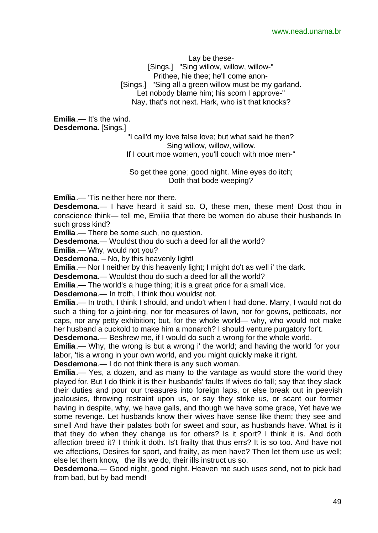Lay be these-

[Sings.] "Sing willow, willow, willow-" Prithee, hie thee; he'll come anon- [Sings.] "Sing all a green willow must be my garland. Let nobody blame him; his scorn I approve-" Nay, that's not next. Hark, who is't that knocks?

**Emília**.— It's the wind. **Desdemona**. [Sings.]

> "I call'd my love false love; but what said he then? Sing willow, willow, willow. If I court moe women, you'll couch with moe men-"

So get thee gone; good night. Mine eyes do itch; Doth that bode weeping?

**Emília**.— 'Tis neither here nor there.

**Desdemona**.— I have heard it said so. O, these men, these men! Dost thou in conscience think— tell me, Emilia that there be women do abuse their husbands In such gross kind?

**Emília**.— There be some such, no question.

**Desdemona**.— Wouldst thou do such a deed for all the world?

**Emília**.— Why, would not you?

**Desdemona**. – No, by this heavenly light!

**Emília**.— Nor I neither by this heavenly light; I might do't as well i' the dark.

**Desdemona**.— Wouldst thou do such a deed for all the world?

**Emília**.— The world's a huge thing; it is a great price for a small vice.

**Desdemona**.— In troth, I think thou wouldst not.

**Emília**.— In troth, I think I should, and undo't when I had done. Marry, I would not do such a thing for a joint-ring, nor for measures of lawn, nor for gowns, petticoats, nor caps, nor any petty exhibition; but, for the whole world— why, who would not make her husband a cuckold to make him a monarch? I should venture purgatory for't.

**Desdemona**.— Beshrew me, if I would do such a wrong for the whole world.

**Emília**.— Why, the wrong is but a wrong i' the world; and having the world for your labor, 'tis a wrong in your own world, and you might quickly make it right.

**Desdemona**.— I do not think there is any such woman.

**Emília**.— Yes, a dozen, and as many to the vantage as would store the world they played for. But I do think it is their husbands' faults If wives do fall; say that they slack their duties and pour our treasures into foreign laps, or else break out in peevish jealousies, throwing restraint upon us, or say they strike us, or scant our former having in despite, why, we have galls, and though we have some grace, Yet have we some revenge. Let husbands know their wives have sense like them; they see and smell And have their palates both for sweet and sour, as husbands have. What is it that they do when they change us for others? Is it sport? I think it is. And doth affection breed it? I think it doth. Is't frailty that thus errs? It is so too. And have not we affections, Desires for sport, and frailty, as men have? Then let them use us well; else let them know, the ills we do, their ills instruct us so.

**Desdemona**.— Good night, good night. Heaven me such uses send, not to pick bad from bad, but by bad mend!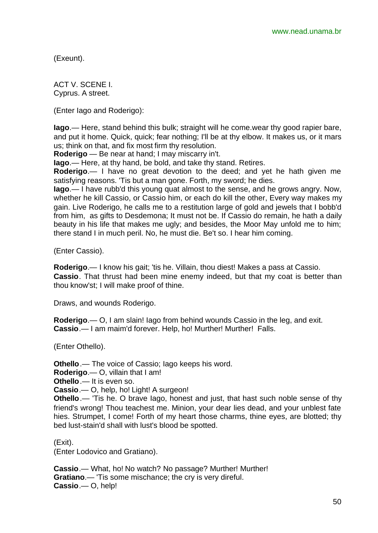(Exeunt).

ACT V. SCENE I. Cyprus. A street.

(Enter Iago and Roderigo):

**Iago**.— Here, stand behind this bulk; straight will he come.wear thy good rapier bare, and put it home. Quick, quick; fear nothing; I'll be at thy elbow. It makes us, or it mars us; think on that, and fix most firm thy resolution.

**Roderigo** — Be near at hand; I may miscarry in't.

**Iago**.— Here, at thy hand, be bold, and take thy stand. Retires.

**Roderigo**.— I have no great devotion to the deed; and yet he hath given me satisfying reasons. 'Tis but a man gone. Forth, my sword; he dies.

**Iago**.— I have rubb'd this young quat almost to the sense, and he grows angry. Now, whether he kill Cassio, or Cassio him, or each do kill the other, Every way makes my gain. Live Roderigo, he calls me to a restitution large of gold and jewels that I bobb'd from him, as gifts to Desdemona; It must not be. If Cassio do remain, he hath a daily beauty in his life that makes me ugly; and besides, the Moor May unfold me to him; there stand I in much peril. No, he must die. Be't so. I hear him coming.

(Enter Cassio).

**Roderigo**.— I know his gait; 'tis he. Villain, thou diest! Makes a pass at Cassio. **Cassio**. That thrust had been mine enemy indeed, but that my coat is better than thou know'st; I will make proof of thine.

Draws, and wounds Roderigo.

**Roderigo**.— O, I am slain! Iago from behind wounds Cassio in the leg, and exit. **Cassio**.— I am maim'd forever. Help, ho! Murther! Murther! Falls.

(Enter Othello).

**Othello**.— The voice of Cassio; Iago keeps his word.

**Roderigo**.— O, villain that I am!

**Othello**.— It is even so.

**Cassio**.— O, help, ho! Light! A surgeon!

**Othello**.— 'Tis he. O brave Iago, honest and just, that hast such noble sense of thy friend's wrong! Thou teachest me. Minion, your dear lies dead, and your unblest fate hies. Strumpet, I come! Forth of my heart those charms, thine eyes, are blotted; thy bed lust-stain'd shall with lust's blood be spotted.

(Exit).

(Enter Lodovico and Gratiano).

**Cassio**.— What, ho! No watch? No passage? Murther! Murther! **Gratiano**.— 'Tis some mischance; the cry is very direful. **Cassio**.— O, help!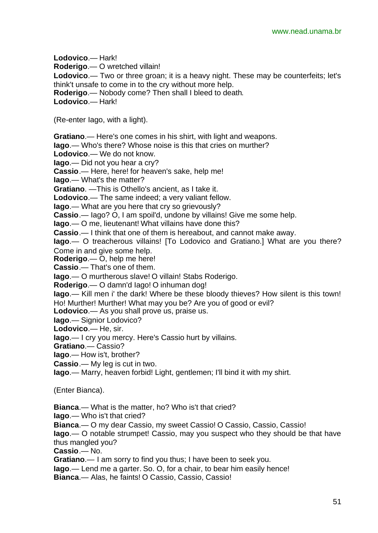**Lodovico**.— Hark! **Roderigo**.— O wretched villain! **Lodovico**.— Two or three groan; it is a heavy night. These may be counterfeits; let's think't unsafe to come in to the cry without more help. **Roderigo**.— Nobody come? Then shall I bleed to death. **Lodovico**.— Hark! (Re-enter Iago, with a light). **Gratiano**.— Here's one comes in his shirt, with light and weapons. **Iago**.— Who's there? Whose noise is this that cries on murther? **Lodovico**.— We do not know. **Iago**.— Did not you hear a cry? **Cassio**.— Here, here! for heaven's sake, help me! **Iago**.— What's the matter? **Gratiano**. —This is Othello's ancient, as I take it. **Lodovico**.— The same indeed; a very valiant fellow. **Iago**.— What are you here that cry so grievously? **Cassio**.— Iago? O, I am spoil'd, undone by villains! Give me some help. **Iago**.— O me, lieutenant! What villains have done this? **Cassio**.— I think that one of them is hereabout, and cannot make away. **Iago**.— O treacherous villains! [To Lodovico and Gratiano.] What are you there? Come in and give some help. **Roderigo**.— O, help me here! **Cassio**.— That's one of them. **Iago**.— O murtherous slave! O villain! Stabs Roderigo. **Roderigo**.— O damn'd Iago! O inhuman dog! **Iago**.— Kill men i' the dark! Where be these bloody thieves? How silent is this town! Ho! Murther! Murther! What may you be? Are you of good or evil? **Lodovico**.— As you shall prove us, praise us. **Iago**.— Signior Lodovico? **Lodovico**.— He, sir. **Iago**.— I cry you mercy. Here's Cassio hurt by villains. **Gratiano**.— Cassio? **Iago**.— How is't, brother? **Cassio**.— My leg is cut in two. **Iago**.— Marry, heaven forbid! Light, gentlemen; I'll bind it with my shirt. (Enter Bianca). **Bianca**.— What is the matter, ho? Who is't that cried? **Iago**.— Who is't that cried? **Bianca**.— O my dear Cassio, my sweet Cassio! O Cassio, Cassio, Cassio! **Iago**.— O notable strumpet! Cassio, may you suspect who they should be that have thus mangled you? **Cassio**.— No. **Gratiano**.— I am sorry to find you thus; I have been to seek you. **Iago**.— Lend me a garter. So. O, for a chair, to bear him easily hence!

**Bianca**.— Alas, he faints! O Cassio, Cassio, Cassio!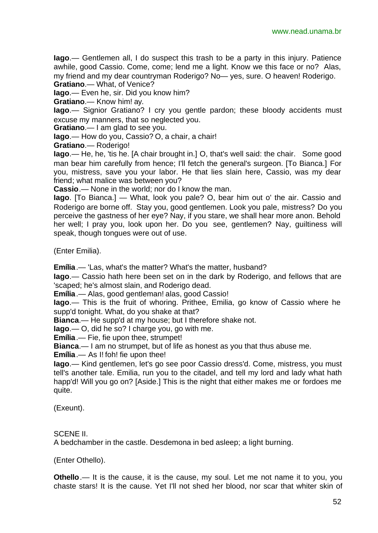**Iago**.— Gentlemen all, I do suspect this trash to be a party in this injury. Patience awhile, good Cassio. Come, come; lend me a light. Know we this face or no? Alas, my friend and my dear countryman Roderigo? No— yes, sure. O heaven! Roderigo. **Gratiano**.— What, of Venice?

**Iago**.— Even he, sir. Did you know him?

**Gratiano**.— Know him! ay.

**Iago**.— Signior Gratiano? I cry you gentle pardon; these bloody accidents must excuse my manners, that so neglected you.

**Gratiano**.— I am glad to see you.

**Iago**.— How do you, Cassio? O, a chair, a chair!

**Gratiano**.— Roderigo!

**Iago**.— He, he, 'tis he. [A chair brought in.] O, that's well said: the chair. Some good man bear him carefully from hence: I'll fetch the general's surgeon. [To Bianca.] For you, mistress, save you your labor. He that lies slain here, Cassio, was my dear friend; what malice was between you?

**Cassio**.— None in the world; nor do I know the man.

**Iago**. [To Bianca.] — What, look you pale? O, bear him out o' the air. Cassio and Roderigo are borne off. Stay you, good gentlemen. Look you pale, mistress? Do you perceive the gastness of her eye? Nay, if you stare, we shall hear more anon. Behold her well; I pray you, look upon her. Do you see, gentlemen? Nay, guiltiness will speak, though tongues were out of use.

(Enter Emilia).

**Emília**.— 'Las, what's the matter? What's the matter, husband?

**Iago**.— Cassio hath here been set on in the dark by Roderigo, and fellows that are 'scaped; he's almost slain, and Roderigo dead.

**Emília**.— Alas, good gentleman! alas, good Cassio!

**Iago**.— This is the fruit of whoring. Prithee, Emilia, go know of Cassio where he supp'd tonight. What, do you shake at that?

**Bianca**.— He supp'd at my house; but I therefore shake not.

**Iago**.— O, did he so? I charge you, go with me.

**Emília**.— Fie, fie upon thee, strumpet!

**Bianca**.— I am no strumpet, but of life as honest as you that thus abuse me.

**Emília**.— As I! foh! fie upon thee!

**Iago**.— Kind gentlemen, let's go see poor Cassio dress'd. Come, mistress, you must tell's another tale. Emilia, run you to the citadel, and tell my lord and lady what hath happ'd! Will you go on? [Aside.] This is the night that either makes me or fordoes me quite.

(Exeunt).

#### SCENE II.

A bedchamber in the castle. Desdemona in bed asleep; a light burning.

(Enter Othello).

**Othello**.— It is the cause, it is the cause, my soul. Let me not name it to you, you chaste stars! It is the cause. Yet I'll not shed her blood, nor scar that whiter skin of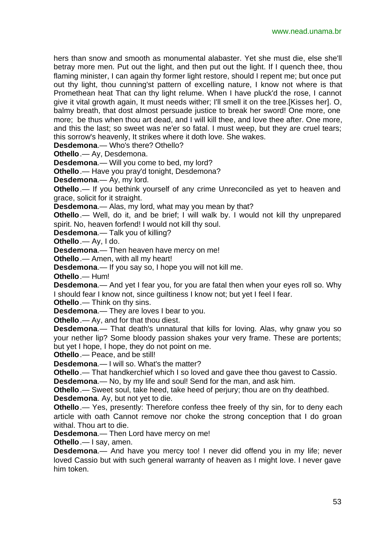hers than snow and smooth as monumental alabaster. Yet she must die, else she'll betray more men. Put out the light, and then put out the light. If I quench thee, thou flaming minister, I can again thy former light restore, should I repent me; but once put out thy light, thou cunning'st pattern of excelling nature, I know not where is that Promethean heat That can thy light relume. When I have pluck'd the rose, I cannot give it vital growth again, It must needs wither; I'll smell it on the tree.[Kisses her]. O, balmy breath, that dost almost persuade justice to break her sword! One more, one more; be thus when thou art dead, and I will kill thee, and love thee after. One more, and this the last; so sweet was ne'er so fatal. I must weep, but they are cruel tears; this sorrow's heavenly, It strikes where it doth love. She wakes.

**Desdemona**.— Who's there? Othello?

**Othello**.— Ay, Desdemona.

**Desdemona**.— Will you come to bed, my lord?

**Othello**.— Have you pray'd tonight, Desdemona?

**Desdemona**.— Ay, my lord.

**Othello**.— If you bethink yourself of any crime Unreconciled as yet to heaven and grace, solicit for it straight.

**Desdemona**.— Alas, my lord, what may you mean by that?

**Othello**.— Well, do it, and be brief; I will walk by. I would not kill thy unprepared spirit. No, heaven forfend! I would not kill thy soul.

**Desdemona**.— Talk you of killing?

**Othello**.— Ay, I do.

**Desdemona**.— Then heaven have mercy on me!

**Othello**.— Amen, with all my heart!

**Desdemona**.— If you say so, I hope you will not kill me.

**Othello**.— Hum!

**Desdemona**.— And yet I fear you, for you are fatal then when your eyes roll so. Why I should fear I know not, since guiltiness I know not; but yet I feel I fear.

**Othello**.— Think on thy sins.

**Desdemona**.— They are loves I bear to you.

**Othello**.— Ay, and for that thou diest.

**Desdemona**.— That death's unnatural that kills for loving. Alas, why gnaw you so your nether lip? Some bloody passion shakes your very frame. These are portents; but yet I hope, I hope, they do not point on me.

**Othello**.— Peace, and be still!

**Desdemona**.— I will so. What's the matter?

**Othello**.— That handkerchief which I so loved and gave thee thou gavest to Cassio.

**Desdemona**.— No, by my life and soul! Send for the man, and ask him.

**Othello**.— Sweet soul, take heed, take heed of perjury; thou are on thy deathbed. **Desdemona**. Ay, but not yet to die.

**Othello**.— Yes, presently: Therefore confess thee freely of thy sin, for to deny each article with oath Cannot remove nor choke the strong conception that I do groan withal. Thou art to die.

**Desdemona**.— Then Lord have mercy on me!

**Othello**.— I say, amen.

**Desdemona**.— And have you mercy too! I never did offend you in my life; never loved Cassio but with such general warranty of heaven as I might love. I never gave him token.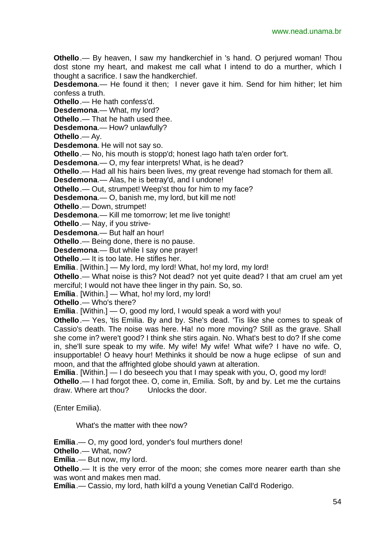**Othello** .— By heaven, I saw my handkerchief in 's hand. O perjured woman! Thou dost stone my heart, and makest me call what I intend to do a murther, which I thought a sacrifice. I saw the handkerchief.

**Desdemona**.— He found it then; I never gave it him. Send for him hither; let him confess a truth.

**Othello**.— He hath confess'd.

**Desdemona**.— What, my lord?

**Othello**.— That he hath used thee.

**Desdemona**.— How? unlawfully?

**Othello**.— Ay.

**Desdemona**. He will not say so.

**Othello**.— No, his mouth is stopp'd; honest Iago hath ta'en order for't.

**Desdemona**.— O, my fear interprets! What, is he dead?

**Othello**.— Had all his hairs been lives, my great revenge had stomach for them all.

**Desdemona**.— Alas, he is betray'd, and I undone!

**Othello**.— Out, strumpet! Weep'st thou for him to my face?

**Desdemona**.— O, banish me, my lord, but kill me not!

**Othello**.— Down, strumpet!

**Desdemona**.— Kill me tomorrow; let me live tonight!

**Othello**.— Nay, if you strive-

**Desdemona**.— But half an hour!

**Othello**.— Being done, there is no pause.

**Desdemona**.— But while I say one prayer!

**Othello**.— It is too late. He stifles her.

**Emília**. [Within.] — My lord, my lord! What, ho! my lord, my lord!

**Othello**.— What noise is this? Not dead? not yet quite dead? I that am cruel am yet merciful; I would not have thee linger in thy pain. So, so.

**Emília**. [Within.] — What, ho! my lord, my lord!

**Othello**.— Who's there?

**Emília**. [Within.] — O, good my lord, I would speak a word with you!

**Othello**.— Yes, 'tis Emilia. By and by. She's dead. 'Tis like she comes to speak of Cassio's death. The noise was here. Ha! no more moving? Still as the grave. Shall she come in? were't good? I think she stirs again. No. What's best to do? If she come in, she'll sure speak to my wife. My wife! My wife! What wife? I have no wife. O, insupportable! O heavy hour! Methinks it should be now a huge eclipse of sun and moon, and that the affrighted globe should yawn at alteration.

**Emília**. [Within.] — I do beseech you that I may speak with you, O, good my lord!

**Othello**.— I had forgot thee. O, come in, Emilia. Soft, by and by. Let me the curtains draw. Where art thou? Unlocks the door.

(Enter Emilia).

What's the matter with thee now?

**Emília**.— O, my good lord, yonder's foul murthers done!

**Othello**.— What, now?

**Emília**.— But now, my lord.

**Othello**.— It is the very error of the moon; she comes more nearer earth than she was wont and makes men mad.

**Emília**.— Cassio, my lord, hath kill'd a young Venetian Call'd Roderigo.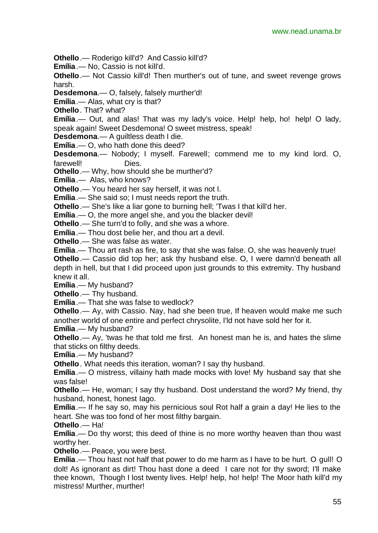**Othello**.— Roderigo kill'd? And Cassio kill'd?

**Emília**.— No, Cassio is not kill'd.

**Othello**.— Not Cassio kill'd! Then murther's out of tune, and sweet revenge grows harsh.

**Desdemona**.— O, falsely, falsely murther'd!

**Emília**.— Alas, what cry is that?

**Othello**. That? what?

**Emília**.— Out, and alas! That was my lady's voice. Help! help, ho! help! O lady, speak again! Sweet Desdemona! O sweet mistress, speak!

**Desdemona**.— A guiltless death I die.

**Emília**.— O, who hath done this deed?

**Desdemona**.— Nobody; I myself. Farewell; commend me to my kind lord. O, farewell! Dies.

**Othello**.— Why, how should she be murther'd?

**Emília**.— Alas, who knows?

**Othello**.— You heard her say herself, it was not I.

**Emília**.— She said so; I must needs report the truth.

**Othello**.— She's like a liar gone to burning hell; 'Twas I that kill'd her.

**Emília**.— O, the more angel she, and you the blacker devil!

**Othello**.— She turn'd to folly, and she was a whore.

**Emília**.— Thou dost belie her, and thou art a devil.

**Othello**.— She was false as water.

**Emília**.— Thou art rash as fire, to say that she was false. O, she was heavenly true!

**Othello**.— Cassio did top her; ask thy husband else. O, I were damn'd beneath all depth in hell, but that I did proceed upon just grounds to this extremity. Thy husband knew it all.

**Emília**.— My husband?

**Othello**.— Thy husband.

**Emília**.— That she was false to wedlock?

**Othello**.— Ay, with Cassio. Nay, had she been true, If heaven would make me such another world of one entire and perfect chrysolite, I'ld not have sold her for it.

**Emília**.— My husband?

**Othello**.— Ay, 'twas he that told me first. An honest man he is, and hates the slime that sticks on filthy deeds.

**Emília**.— My husband?

**Othello**. What needs this iteration, woman? I say thy husband.

**Emília**.— O mistress, villainy hath made mocks with love! My husband say that she was false!

**Othello**.— He, woman; I say thy husband. Dost understand the word? My friend, thy husband, honest, honest Iago.

**Emília**.— If he say so, may his pernicious soul Rot half a grain a day! He lies to the heart. She was too fond of her most filthy bargain.

**Othello**.— Ha!

**Emília**.— Do thy worst; this deed of thine is no more worthy heaven than thou wast worthy her.

**Othello**.— Peace, you were best.

**Emília**.— Thou hast not half that power to do me harm as I have to be hurt. O gull! O dolt! As ignorant as dirt! Thou hast done a deed I care not for thy sword; I'll make thee known, Though I lost twenty lives. Help! help, ho! help! The Moor hath kill'd my mistress! Murther, murther!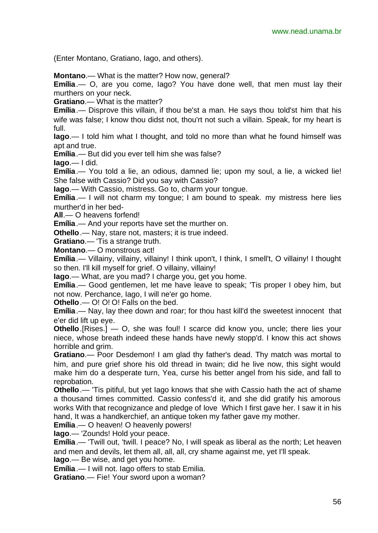(Enter Montano, Gratiano, Iago, and others).

**Montano**.— What is the matter? How now, general?

**Emília**.— O, are you come, Iago? You have done well, that men must lay their murthers on your neck.

**Gratiano**.— What is the matter?

**Emília**.— Disprove this villain, if thou be'st a man. He says thou told'st him that his wife was false; I know thou didst not, thou'rt not such a villain. Speak, for my heart is full.

**Iago**.— I told him what I thought, and told no more than what he found himself was apt and true.

**Emília**.— But did you ever tell him she was false?

**Iago**.— I did.

**Emília**.— You told a lie, an odious, damned lie; upon my soul, a lie, a wicked lie! She false with Cassio? Did you say with Cassio?

**Iago**.— With Cassio, mistress. Go to, charm your tongue.

**Emília**.— I will not charm my tongue; I am bound to speak. my mistress here lies murther'd in her bed-

**All**.— O heavens forfend!

**Emília**.— And your reports have set the murther on.

**Othello**.— Nay, stare not, masters; it is true indeed.

**Gratiano**.— 'Tis a strange truth.

**Montano**.— O monstrous act!

**Emília**.— Villainy, villainy, villainy! I think upon't, I think, I smell't, O villainy! I thought so then. I'll kill myself for grief. O villainy, villainy!

**Iago**.— What, are you mad? I charge you, get you home.

**Emília**.— Good gentlemen, let me have leave to speak; 'Tis proper I obey him, but not now. Perchance, Iago, I will ne'er go home.

**Othello**.— O! O! O! Falls on the bed.

**Emília**.— Nay, lay thee down and roar; for thou hast kill'd the sweetest innocent that e'er did lift up eye.

**Othello**.[Rises.] — O, she was foul! I scarce did know you, uncle; there lies your niece, whose breath indeed these hands have newly stopp'd. I know this act shows horrible and grim.

**Gratiano**.— Poor Desdemon! I am glad thy father's dead. Thy match was mortal to him, and pure grief shore his old thread in twain; did he live now, this sight would make him do a desperate turn, Yea, curse his better angel from his side, and fall to reprobation.

**Othello**.— 'Tis pitiful, but yet Iago knows that she with Cassio hath the act of shame a thousand times committed. Cassio confess'd it, and she did gratify his amorous works With that recognizance and pledge of love Which I first gave her. I saw it in his hand, It was a handkerchief, an antique token my father gave my mother.

**Emília**.— O heaven! O heavenly powers!

**Iago**.— 'Zounds! Hold your peace.

**Emília**.— 'Twill out, 'twill. I peace? No, I will speak as liberal as the north; Let heaven and men and devils, let them all, all, all, cry shame against me, yet I'll speak.

**Iago**.— Be wise, and get you home.

**Emília**.— I will not. Iago offers to stab Emilia.

**Gratiano**.— Fie! Your sword upon a woman?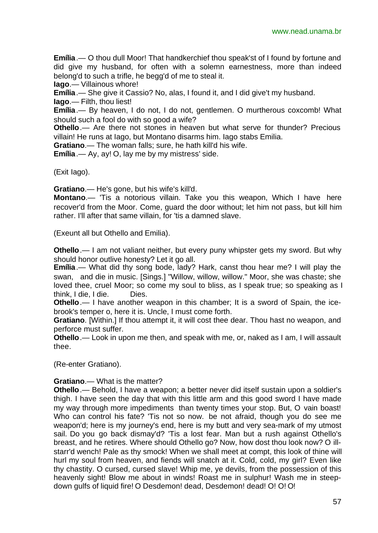**Emília**.— O thou dull Moor! That handkerchief thou speak'st of I found by fortune and did give my husband, for often with a solemn earnestness, more than indeed belong'd to such a trifle, he begg'd of me to steal it.

**Iago**.— Villainous whore!

**Emília**.— She give it Cassio? No, alas, I found it, and I did give't my husband.

**Iago**.— Filth, thou liest!

**Emília**.— By heaven, I do not, I do not, gentlemen. O murtherous coxcomb! What should such a fool do with so good a wife?

**Othello**.— Are there not stones in heaven but what serve for thunder? Precious villain! He runs at Iago, but Montano disarms him. Iago stabs Emilia.

**Gratiano**.— The woman falls; sure, he hath kill'd his wife.

**Emília**.— Ay, ay! O, lay me by my mistress' side.

(Exit Iago).

**Gratiano**.— He's gone, but his wife's kill'd.

**Montano**.— 'Tis a notorious villain. Take you this weapon, Which I have here recover'd from the Moor. Come, guard the door without; let him not pass, but kill him rather. I'll after that same villain, for 'tis a damned slave.

(Exeunt all but Othello and Emilia).

**Othello**.— I am not valiant neither, but every puny whipster gets my sword. But why should honor outlive honesty? Let it go all.

**Emília**.— What did thy song bode, lady? Hark, canst thou hear me? I will play the swan, and die in music. [Sings.] "Willow, willow, willow." Moor, she was chaste; she loved thee, cruel Moor; so come my soul to bliss, as I speak true; so speaking as I think, I die, I die. Dies.

**Othello**.— I have another weapon in this chamber; It is a sword of Spain, the icebrook's temper o, here it is. Uncle, I must come forth.

**Gratiano**. [Within.] If thou attempt it, it will cost thee dear. Thou hast no weapon, and perforce must suffer.

**Othello**.— Look in upon me then, and speak with me, or, naked as I am, I will assault thee.

(Re-enter Gratiano).

**Gratiano**.— What is the matter?

**Othello**.— Behold, I have a weapon; a better never did itself sustain upon a soldier's thigh. I have seen the day that with this little arm and this good sword I have made my way through more impediments than twenty times your stop. But, O vain boast! Who can control his fate? 'Tis not so now. be not afraid, though you do see me weapon'd; here is my journey's end, here is my butt and very sea-mark of my utmost sail. Do you go back dismay'd? 'Tis a lost fear. Man but a rush against Othello's breast, and he retires. Where should Othello go? Now, how dost thou look now? O illstarr'd wench! Pale as thy smock! When we shall meet at compt, this look of thine will hurl my soul from heaven, and fiends will snatch at it. Cold, cold, my girl? Even like thy chastity. O cursed, cursed slave! Whip me, ye devils, from the possession of this heavenly sight! Blow me about in winds! Roast me in sulphur! Wash me in steepdown gulfs of liquid fire! O Desdemon! dead, Desdemon! dead! O! O! O!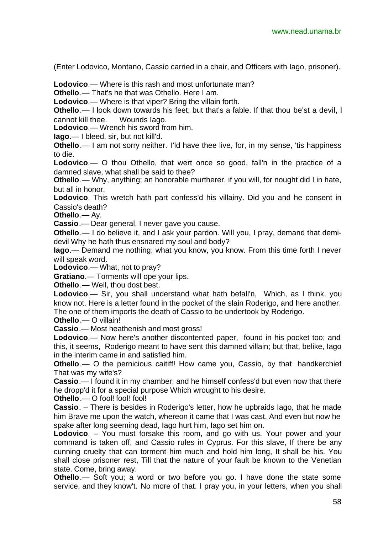(Enter Lodovico, Montano, Cassio carried in a chair, and Officers with Iago, prisoner).

**Lodovico**.— Where is this rash and most unfortunate man?

**Othello**.— That's he that was Othello. Here I am.

**Lodovico**.— Where is that viper? Bring the villain forth.

**Othello**.— I look down towards his feet; but that's a fable. If that thou be'st a devil, I cannot kill thee. Wounds Iago.

**Lodovico**.— Wrench his sword from him.

**Iago**.— I bleed, sir, but not kill'd.

**Othello**.— I am not sorry neither. I'ld have thee live, for, in my sense, 'tis happiness to die.

**Lodovico**.— O thou Othello, that wert once so good, fall'n in the practice of a damned slave, what shall be said to thee?

**Othello**.— Why, anything; an honorable murtherer, if you will, for nought did I in hate, but all in honor.

**Lodovico**. This wretch hath part confess'd his villainy. Did you and he consent in Cassio's death?

**Othello**.— Ay.

**Cassio**.— Dear general, I never gave you cause.

**Othello**.— I do believe it, and I ask your pardon. Will you, I pray, demand that demidevil Why he hath thus ensnared my soul and body?

**Iago**.— Demand me nothing; what you know, you know. From this time forth I never will speak word.

**Lodovico**.— What, not to pray?

**Gratiano**.— Torments will ope your lips.

**Othello**.— Well, thou dost best.

**Lodovico**.— Sir, you shall understand what hath befall'n, Which, as I think, you know not. Here is a letter found in the pocket of the slain Roderigo, and here another. The one of them imports the death of Cassio to be undertook by Roderigo.

**Othello**.— O villain!

**Cassio**.— Most heathenish and most gross!

**Lodovico**.— Now here's another discontented paper, found in his pocket too; and this, it seems, Roderigo meant to have sent this damned villain; but that, belike, Iago in the interim came in and satisfied him.

**Othello**.— O the pernicious caitiff! How came you, Cassio, by that handkerchief That was my wife's?

**Cassio**.— I found it in my chamber; and he himself confess'd but even now that there he dropp'd it for a special purpose Which wrought to his desire.

**Othello** — O fool! fool! fool!

**Cassio**. – There is besides in Roderigo's letter, how he upbraids Iago, that he made him Brave me upon the watch, whereon it came that I was cast. And even but now he spake after long seeming dead, Iago hurt him, Iago set him on.

**Lodovico.** – You must forsake this room, and go with us. Your power and your command is taken off, and Cassio rules in Cyprus. For this slave, If there be any cunning cruelty that can torment him much and hold him long, It shall be his. You shall close prisoner rest, Till that the nature of your fault be known to the Venetian state. Come, bring away.

**Othello**.— Soft you; a word or two before you go. I have done the state some service, and they know't. No more of that. I pray you, in your letters, when you shall